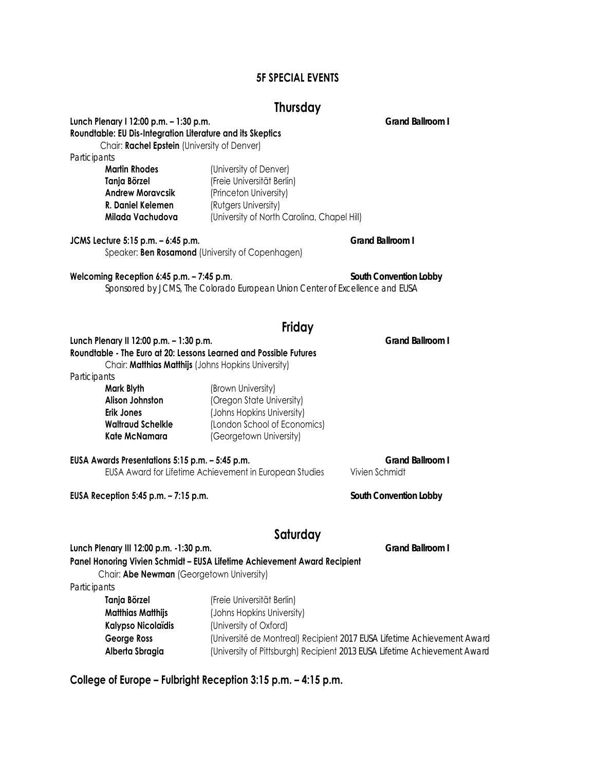# **5F SPECIAL EVENTS**

# **Thursday**

**Lunch Plenary I 12:00 p.m. – 1:30 p.m.** *Grand Ballroom I*

**Roundtable: EU Dis-Integration Literature and its Skeptics**  Chair: **Rachel Epstein** (University of Denver) *Participants*  **Martin Rhodes** (University of Denver) **Tanja Börzel** (Freie Universität Berlin) **Andrew Moravcsik** (Princeton University) **R. Daniel Kelemen** (Rutgers University) **Milada Vachudova** (University of North Carolina, Chapel Hill)

**JCMS Lecture 5:15 p.m. – 6:45 p.m.** *Grand Ballroom I* Speaker: **Ben Rosamond** (University of Copenhagen)

#### **Welcoming Reception 6:45 p.m. – 7:45 p.m**. *South Convention Lobby*

*Sponsored by JCMS, The Colorado European Union Center of Excellence and EUSA* 

# **Friday**

# **Lunch Plenary II 12:00 p.m. – 1:30 p.m.** *Grand Ballroom I* **Roundtable - The Euro at 20: Lessons Learned and Possible Futures** Chair: **Matthias Matthijs** (Johns Hopkins University)

*Participants* 

# **Mark Blyth (Brown University) Alison Johnston** (Oregon State University) **Erik Jones** (Johns Hopkins University) **Waltraud Schelkle** (London School of Economics) **Kate McNamara** (Georgetown University)

**EUSA Awards Presentations 5:15 p.m. – 5:45 p.m.** *Grand Ballroom I* EUSA Award for Lifetime Achievement in European Studies Vivien Schmidt

**EUSA Reception 5:45 p.m. – 7:15 p.m.** *South Convention Lobby*

# **Saturday**

# **Lunch Plenary III 12:00 p.m. -1:30 p.m.** *Grand Ballroom I* **Panel Honoring Vivien Schmidt – EUSA Lifetime Achievement Award Recipient**

Chair: **Abe Newman** (Georgetown University)

#### *Participants*

| Tanja Börzel       | (Freie Universität Berlin)                                                |
|--------------------|---------------------------------------------------------------------------|
| Matthias Matthijs  | (Johns Hopkins University)                                                |
| Kalypso Nicolaïdis | (University of Oxford)                                                    |
| George Ross        | (Université de Montreal) Recipient 2017 EUSA Lifetime Achievement Award   |
| Alberta Sbragia    | (University of Pittsburgh) Recipient 2013 EUSA Lifetime Achievement Award |

**College of Europe – Fulbright Reception 3:15 p.m. – 4:15 p.m.**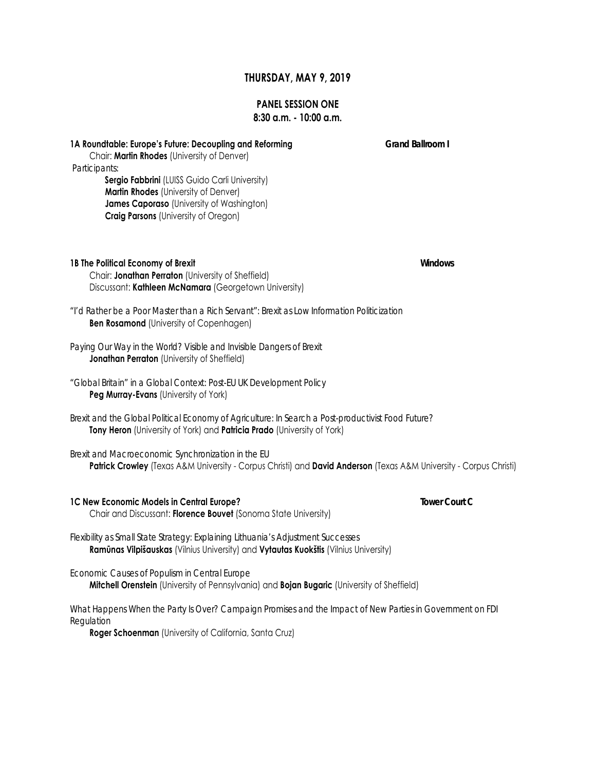### **THURSDAY, MAY 9, 2019**

# **PANEL SESSION ONE**

# **8:30 a.m. - 10:00 a.m.**

**1A Roundtable: Europe's Future: Decoupling and Reforming** *Grand Ballroom I*

 Chair: **Martin Rhodes** (University of Denver)  *Participants:* **Sergio Fabbrini** (LUISS Guido Carli University) **Martin Rhodes** (University of Denver)

> **James Caporaso** (University of Washington) **Craig Parsons** (University of Oregon)

**1B The Political Economy of Brexit** *Windows* Chair: **Jonathan Perraton** (University of Sheffield) Discussant: **Kathleen McNamara** (Georgetown University)

*"I'd Rather be a Poor Master than a Rich Servant": Brexit as Low Information Politicization*  **Ben Rosamond** (University of Copenhagen)

- *Paying Our Way in the World? Visible and Invisible Dangers of Brexit* **Jonathan Perraton** (University of Sheffield)
- *"Global Britain" in a Global Context: Post-EU UK Development Policy* **Peg Murray-Evans** (University of York)
- *Brexit and the Global Political Economy of Agriculture: In Search a Post-productivist Food Future?* **Tony Heron** (University of York) and **Patricia Prado** (University of York)

*Brexit and Macroeconomic Synchronization in the EU* **Patrick Crowley** (Texas A&M University - Corpus Christi) and **David Anderson** (Texas A&M University - Corpus Christi)

# **1C New Economic Models in Central Europe?** *Tower Court C*

Chair and Discussant: **Florence Bouvet** (Sonoma State University)

*Flexibility as Small State Strategy: Explaining Lithuania's Adjustment Successes* **Ramūnas Vilpišauskas** (Vilnius University) and **Vytautas Kuokštis** (Vilnius University)

#### *Economic Causes of Populism in Central Europe*

**Mitchell Orenstein** (University of Pennsylvania) and **Bojan Bugaric** (University of Sheffield)

*What Happens When the Party Is Over? Campaign Promises and the Impact of New Parties in Government on FDI Regulation*

**Roger Schoenman** (University of California, Santa Cruz)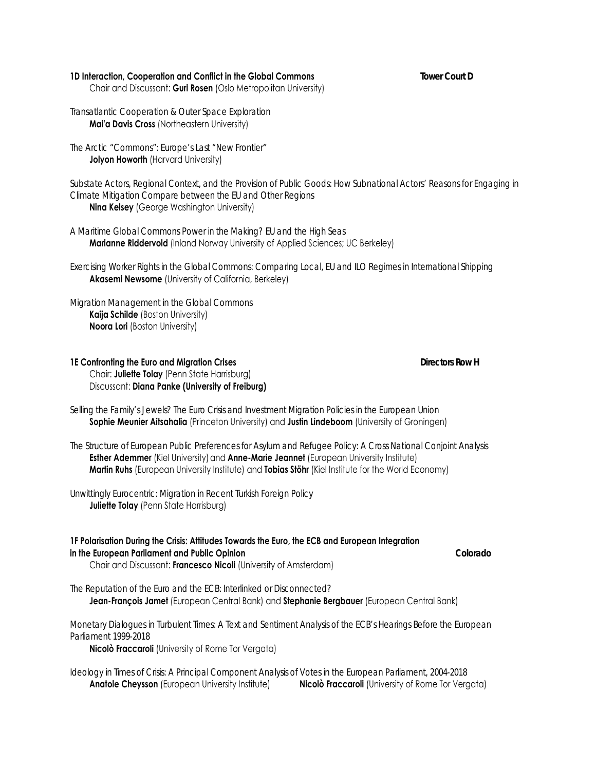#### **1D Interaction, Cooperation and Conflict in the Global Commons** *Tower Court D*

Chair and Discussant: **Guri Rosen** (Oslo Metropolitan University)

*Transatlantic Cooperation & Outer Space Exploration* **Mai'a Davis Cross** (Northeastern University)

*The Arctic "Commons": Europe's Last "New Frontier"* **Jolyon Howorth** (Harvard University)

*Substate Actors, Regional Context, and the Provision of Public Goods: How Subnational Actors' Reasons for Engaging in Climate Mitigation Compare between the EU and Other Regions* **Nina Kelsey** (George Washington University)

*A Maritime Global Commons Power in the Making? EU and the High Seas* **Marianne Riddervold** (Inland Norway University of Applied Sciences; UC Berkeley)

*Exercising Worker Rights in the Global Commons: Comparing Local, EU and ILO Regimes in International Shipping* **Akasemi Newsome** (University of California, Berkeley)

*Migration Management in the Global Commons* **Kaija Schilde** (Boston University) **Noora Lori** (Boston University)

#### **1E Confronting the Euro and Migration Crises** *Directors Row H*  Chair: **Juliette Tolay** (Penn State Harrisburg) Discussant: **Diana Panke (University of Freiburg)**

*Selling the Family's Jewels? The Euro Crisis and Investment Migration Policies in the European Union* **Sophie Meunier Aitsahalia** (Princeton University) and **Justin Lindeboom** (University of Groningen)

*The Structure of European Public Preferences for Asylum and Refugee Policy: A Cross National Conjoint Analysis* **Esther Ademmer** (Kiel University) and **Anne-Marie Jeannet** (European University Institute) **Martin Ruhs** (European University Institute) and **Tobias Stöhr** (Kiel Institute for the World Economy)

*Unwittingly Eurocentric: Migration in Recent Turkish Foreign Policy*  **Juliette Tolay** (Penn State Harrisburg)

# **1F Polarisation During the Crisis: Attitudes Towards the Euro, the ECB and European Integration in the European Parliament and Public Opinion** *Colorado*

Chair and Discussant: **Francesco Nicoli** (University of Amsterdam)

*The Reputation of the Euro and the ECB: Interlinked or Disconnected?*  **Jean-François Jamet** (European Central Bank) and **Stephanie Bergbauer** (European Central Bank)

*Monetary Dialogues in Turbulent Times: A Text and Sentiment Analysis of the ECB's Hearings Before the European Parliament 1999-2018* 

**Nicolò Fraccaroli** (University of Rome Tor Vergata)

*Ideology in Times of Crisis: A Principal Component Analysis of Votes in the European Parliament, 2004-2018*  **Anatole Cheysson** (European University Institute) **Nicolò Fraccaroli** (University of Rome Tor Vergata)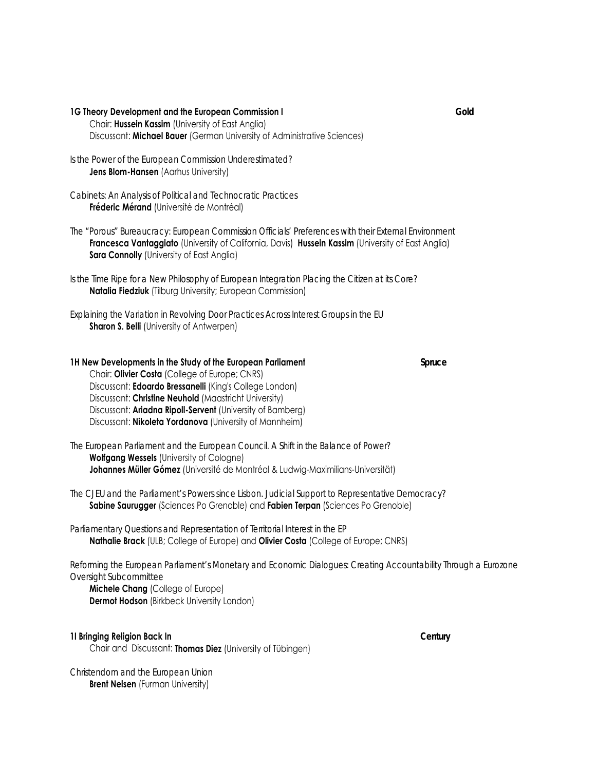#### **1G Theory Development and the European Commission I** *Gold*

- Chair: **Hussein Kassim** (University of East Anglia) Discussant: **Michael Bauer** (German University of Administrative Sciences)
- *Is the Power of the European Commission Underestimated?* **Jens Blom-Hansen** (Aarhus University)

*Cabinets: An Analysis of Political and Technocratic Practices* **Fréderic Mérand** (Université de Montréal)

*The "Porous" Bureaucracy: European Commission Officials' Preferences with their External Environment* **Francesca Vantaggiato** (University of California, Davis) **Hussein Kassim** (University of East Anglia) **Sara Connolly** (University of East Anglia)

*Is the Time Ripe for a New Philosophy of European Integration Placing the Citizen at its Core?* **Natalia Fiedziuk** (Tilburg University; European Commission)

*Explaining the Variation in Revolving Door Practices Across Interest Groups in the EU*  **Sharon S. Belli** (University of Antwerpen)

#### **1H New Developments in the Study of the European Parliament** *Spruce* Chair: **Olivier Costa** (College of Europe; CNRS) Discussant: **Edoardo Bressanelli** (King's College London) Discussant: **Christine Neuhold** (Maastricht University) Discussant: **Ariadna Ripoll-Servent** (University of Bamberg)

Discussant: **Nikoleta Yordanova** (University of Mannheim)

*The European Parliament and the European Council. A Shift in the Balance of Power?*  **Wolfgang Wessels** (University of Cologne) **Johannes Müller Gómez** (Université de Montréal & Ludwig-Maximilians-Universität)

*The CJEU and the Parliament's Powers since Lisbon. Judicial Support to Representative Democracy?*  **Sabine Saurugger** (Sciences Po Grenoble) and **Fabien Terpan** (Sciences Po Grenoble)

*Parliamentary Questions and Representation of Territorial Interest in the EP* **Nathalie Brack** (ULB; College of Europe) and **Olivier Costa** (College of Europe; CNRS)

*Reforming the European Parliament's Monetary and Economic Dialogues: Creating Accountability Through a Eurozone Oversight Subcommittee*

 **Michele Chang** (College of Europe) **Dermot Hodson** (Birkbeck University London)

#### **1I Bringing Religion Back In** *Century*

Chair and Discussant: **Thomas Diez** (University of Tübingen)

*Christendom and the European Union*  **Brent Nelsen** (Furman University)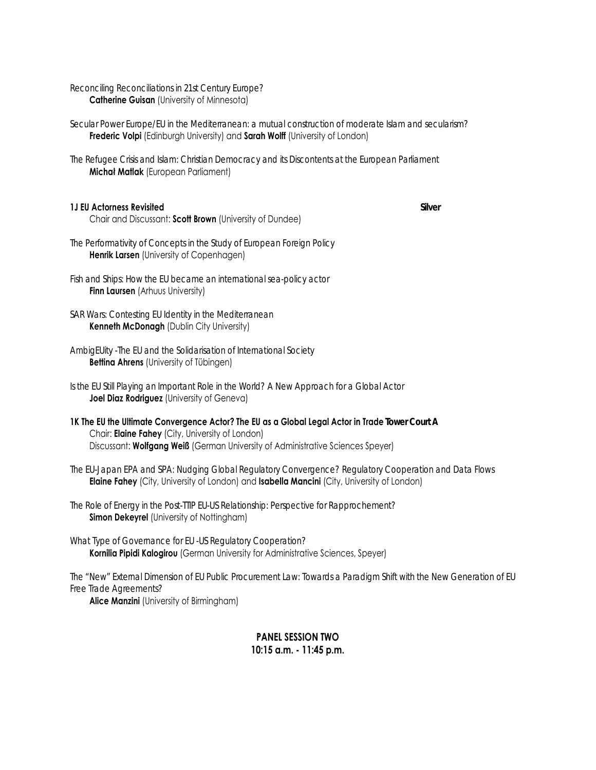*Reconciling Reconciliations in 21st Century Europe?* **Catherine Guisan** (University of Minnesota)

*Secular Power Europe/EU in the Mediterranean: a mutual construction of moderate Islam and secularism?* **Frederic Volpi** (Edinburgh University) and **Sarah Wolff** (University of London)

*The Refugee Crisis and Islam: Christian Democracy and its Discontents at the European Parliament* **Michał Matlak** (European Parliament)

#### **1J EU Actorness Revisited** *Silver*

Chair and Discussant: **Scott Brown** (University of Dundee)

*The Performativity of Concepts in the Study of European Foreign Policy*  **Henrik Larsen** (University of Copenhagen)

*Fish and Ships: How the EU became an international sea-policy actor* **Finn Laursen** (Arhuus University)

*SAR Wars: Contesting EU Identity in the Mediterranean* **Kenneth McDonagh** (Dublin City University)

*AmbigEUity -The EU and the Solidarisation of International Society* **Bettina Ahrens** (University of Tübingen)

*Is the EU Still Playing an Important Role in the World? A New Approach for a Global Actor* **Joel Diaz Rodriguez** (University of Geneva)

**1K The EU the Ultimate Convergence Actor? The EU as a Global Legal Actor in Trade** *Tower Court A* Chair: **Elaine Fahey** (City, University of London) Discussant: **Wolfgang Weiß** (German University of Administrative Sciences Speyer)

*The EU-Japan EPA and SPA: Nudging Global Regulatory Convergence? Regulatory Cooperation and Data Flows*  **Elaine Fahey** (City, University of London) and **Isabella Mancini** (City, University of London)

*The Role of Energy in the Post-TTIP EU-US Relationship: Perspective for Rapprochement?* **Simon Dekeyrel** (University of Nottingham)

*What Type of Governance for EU -US Regulatory Cooperation?*  **Kornilia Pipidi Kalogirou** (German University for Administrative Sciences, Speyer)

*The "New" External Dimension of EU Public Procurement Law: Towards a Paradigm Shift with the New Generation of EU Free Trade Agreements?*

**Alice Manzini** (University of Birmingham)

# **PANEL SESSION TWO 10:15 a.m. - 11:45 p.m.**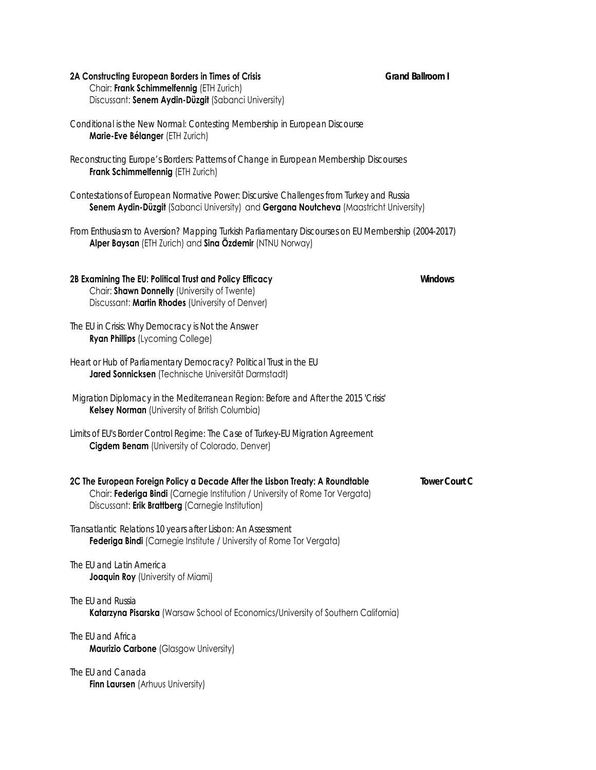# **2A Constructing European Borders in Times of Crisis** *Grand Ballroom I*

 Chair: **Frank Schimmelfennig** (ETH Zurich) Discussant: **Senem Aydin-Düzgit** (Sabanci University)

*Conditional is the New Normal: Contesting Membership in European Discourse* **Marie-Eve Bélanger** (ETH Zurich)

*Reconstructing Europe's Borders: Patterns of Change in European Membership Discourses* **Frank Schimmelfennig** (ETH Zurich)

*Contestations of European Normative Power: Discursive Challenges from Turkey and Russia* **Senem Aydin-Düzgit** (Sabanci University) and **Gergana Noutcheva** (Maastricht University)

*From Enthusiasm to Aversion? Mapping Turkish Parliamentary Discourses on EU Membership (2004-2017)*  **Alper Baysan** (ETH Zurich) and **Sina Özdemir** (NTNU Norway)

| 2B Examining The EU: Political Trust and Policy Efficacy<br>Chair: Shawn Donnelly (University of Twente)<br>Discussant: Martin Rhodes (University of Denver)                                                        | <b>Windows</b>       |
|---------------------------------------------------------------------------------------------------------------------------------------------------------------------------------------------------------------------|----------------------|
| The EU in Crisis: Why Democracy is Not the Answer<br><b>Ryan Phillips</b> (Lycoming College)                                                                                                                        |                      |
| Heart or Hub of Parliamentary Democracy? Political Trust in the EU<br>Jared Sonnicksen (Technische Universität Darmstadt)                                                                                           |                      |
| Migration Diplomacy in the Mediterranean Region: Before and After the 2015 'Crisis'<br>Kelsey Norman (University of British Columbia)                                                                               |                      |
| Limits of EU's Border Control Regime: The Case of Turkey-EU Migration Agreement<br><b>Cigdem Benam</b> (University of Colorado, Denver)                                                                             |                      |
| 2C The European Foreign Policy a Decade After the Lisbon Treaty: A Roundtable<br>Chair: Federiga Bindi (Carnegie Institution / University of Rome Tor Vergata)<br>Discussant: Erik Brattberg (Carnegie Institution) | <b>Tower Court C</b> |
| Transatlantic Relations 10 years after Lisbon: An Assessment<br>Federiga Bindi (Carnegie Institute / University of Rome Tor Vergata)                                                                                |                      |
| The EU and Latin America<br><b>Joaquin Roy</b> (University of Miami)                                                                                                                                                |                      |
| The FII and Russia<br>Katarzyna Pisarska (Warsaw School of Economics/University of Southern California)                                                                                                             |                      |
| The EU and Africa                                                                                                                                                                                                   |                      |

**Maurizio Carbone** (Glasgow University)

*The EU and Canada*

**Finn Laursen** (Arhuus University)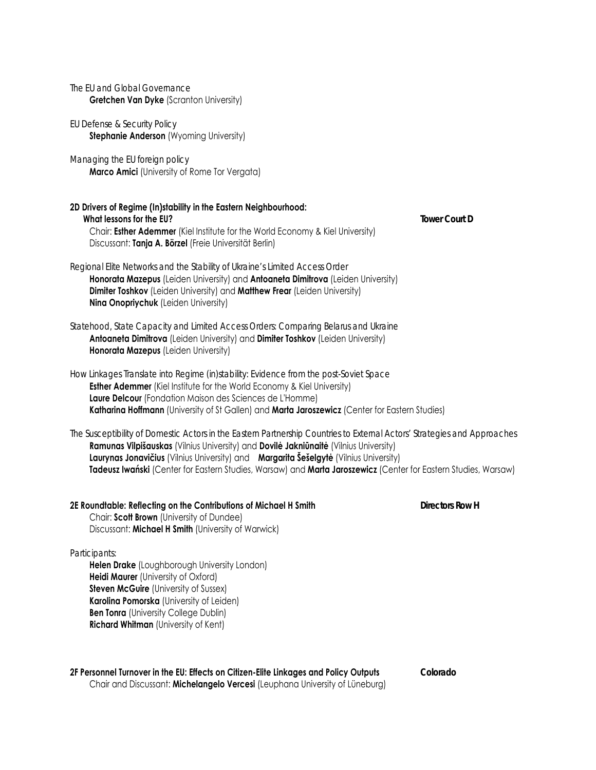| The EU and Global Governance<br><b>Gretchen Van Dyke (Scranton University)</b>                                                                                                                                                                                                                                                                                                                                                |                        |
|-------------------------------------------------------------------------------------------------------------------------------------------------------------------------------------------------------------------------------------------------------------------------------------------------------------------------------------------------------------------------------------------------------------------------------|------------------------|
| EU Defense & Security Policy<br>Stephanie Anderson (Wyoming University)                                                                                                                                                                                                                                                                                                                                                       |                        |
| Managing the EU foreign policy<br><b>Marco Amici</b> (University of Rome Tor Vergata)                                                                                                                                                                                                                                                                                                                                         |                        |
| 2D Drivers of Regime (In)stability in the Eastern Neighbourhood:<br>What lessons for the EU?<br>Chair: Esther Ademmer (Kiel Institute for the World Economy & Kiel University)<br>Discussant: Tanja A. Börzel (Freie Universität Berlin)                                                                                                                                                                                      | <b>Tower Court D</b>   |
| Regional Elite Networks and the Stability of Ukraine's Limited Access Order<br>Honorata Mazepus (Leiden University) and Antoaneta Dimitrova (Leiden University)<br>Dimiter Toshkov (Leiden University) and Matthew Frear (Leiden University)<br>Nina Onopriychuk (Leiden University)                                                                                                                                          |                        |
| Statehood, State Capacity and Limited Access Orders: Comparing Belarus and Ukraine<br>Antoaneta Dimitrova (Leiden University) and Dimiter Toshkov (Leiden University)<br>Honorata Mazepus (Leiden University)                                                                                                                                                                                                                 |                        |
| How Linkages Translate into Regime (in)stability: Evidence from the post-Soviet Space<br>Esther Ademmer (Kiel Institute for the World Economy & Kiel University)<br>Laure Delcour (Fondation Maison des Sciences de L'Homme)<br>Katharina Hoffmann (University of St Gallen) and Marta Jaroszewicz (Center for Eastern Studies)                                                                                               |                        |
| The Susceptibility of Domestic Actors in the Eastern Partnership Countries to External Actors' Strategies and Approaches<br>Ramunas Vilpišauskas (Vilnius University) and Dovilė Jakniūnaitė (Vilnius University)<br>Laurynas Jonavičius (Vilnius University) and Margarita Šešelgytė (Vilnius University)<br>Tadeusz Iwański (Center for Eastern Studies, Warsaw) and Marta Jaroszewicz (Center for Eastern Studies, Warsaw) |                        |
| 2E Roundtable: Reflecting on the Contributions of Michael H Smith<br>Chair: Scott Brown (University of Dundee)<br>Discussant: Michael H Smith (University of Warwick)                                                                                                                                                                                                                                                         | <b>Directors Row H</b> |
| Participants:<br>Helen Drake (Loughborough University London)<br><b>Heidi Maurer</b> (University of Oxford)<br><b>Steven McGuire (University of Sussex)</b><br>Karolina Pomorska (University of Leiden)<br><b>Ben Tonra</b> (University College Dublin)<br>Richard Whitman (University of Kent)                                                                                                                               |                        |

#### **2F Personnel Turnover in the EU: Effects on Citizen-Elite Linkages and Policy Outputs** *Colorado* Chair and Discussant: **Michelangelo Vercesi** (Leuphana University of Lüneburg)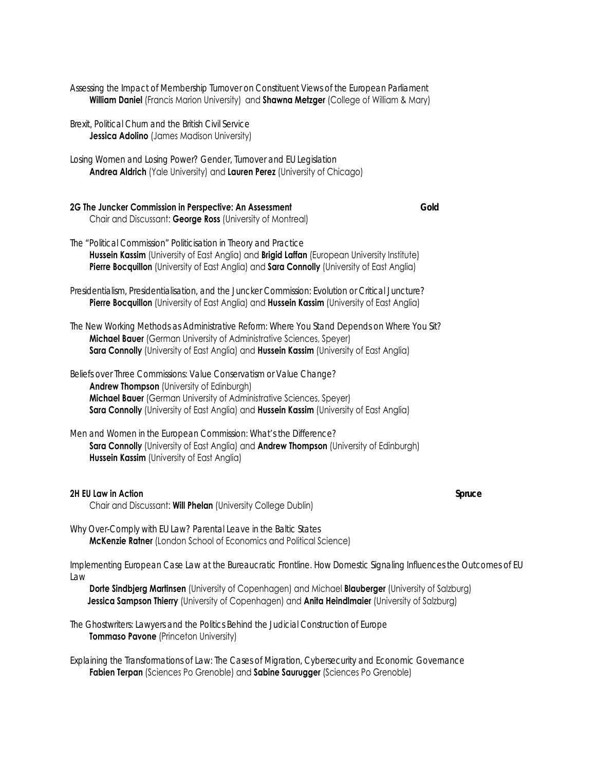*Assessing the Impact of Membership Turnover on Constituent Views of the European Parliament* **William Daniel** (Francis Marion University) and **Shawna Metzger** (College of William & Mary)

*Brexit, Political Churn and the British Civil Service* **Jessica Adolino** (James Madison University)

*Losing Women and Losing Power? Gender, Turnover and EU Legislation* **Andrea Aldrich** (Yale University) and **Lauren Perez** (University of Chicago)

| 2G The Juncker Commission in Perspective: An Assessment    |  | Gold |
|------------------------------------------------------------|--|------|
| Chair and Discussant: George Ross (University of Montreal) |  |      |

- *The "Political Commission" Politicisation in Theory and Practice* **Hussein Kassim** (University of East Anglia) and **Brigid Laffan** (European University Institute) **Pierre Bocquillon** (University of East Anglia) and **Sara Connolly** (University of East Anglia)
- *Presidentialism, Presidentialisation, and the Juncker Commission: Evolution or Critical Juncture?* **Pierre Bocquillon** (University of East Anglia) and **Hussein Kassim** (University of East Anglia)
- *The New Working Methods as Administrative Reform: Where You Stand Depends on Where You Sit?* **Michael Bauer** (German University of Administrative Sciences, Speyer) **Sara Connolly** (University of East Anglia) and **Hussein Kassim** (University of East Anglia)

*Beliefs over Three Commissions: Value Conservatism or Value Change?*  **Andrew Thompson** (University of Edinburgh) **Michael Bauer** (German University of Administrative Sciences, Speyer) **Sara Connolly** (University of East Anglia) and **Hussein Kassim** (University of East Anglia)

*Men and Women in the European Commission: What's the Difference?*  **Sara Connolly** (University of East Anglia) and **Andrew Thompson** (University of Edinburgh) **Hussein Kassim** (University of East Anglia)

#### **2H EU Law in Action** *Spruce*

Chair and Discussant: **Will Phelan** (University College Dublin)

*Why Over-Comply with EU Law? Parental Leave in the Baltic States* **McKenzie Ratner** (London School of Economics and Political Science)

*Implementing European Case Law at the Bureaucratic Frontline. How Domestic Signaling Influences the Outcomes of EU Law*

 **Dorte Sindbjerg Martinsen** (University of Copenhagen) and Michael **Blauberger** (University of Salzburg) **Jessica Sampson Thierry** (University of Copenhagen) and **Anita Heindlmaier** (University of Salzburg)

*The Ghostwriters: Lawyers and the Politics Behind the Judicial Construction of Europe* **Tommaso Pavone** (Princeton University)

*Explaining the Transformations of Law: The Cases of Migration, Cybersecurity and Economic Governance* **Fabien Terpan** (Sciences Po Grenoble) and **Sabine Saurugger** (Sciences Po Grenoble)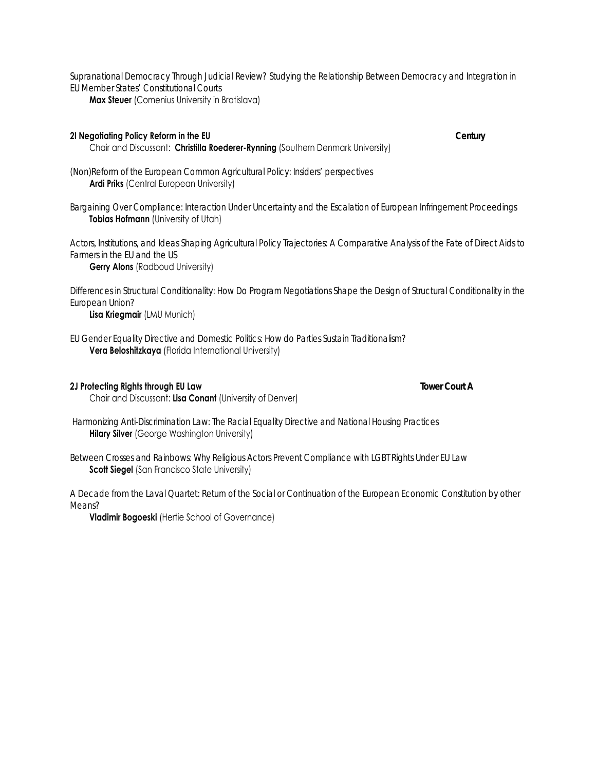*Supranational Democracy Through Judicial Review? Studying the Relationship Between Democracy and Integration in EU Member States' Constitutional Courts* **Max Steuer** (Comenius University in Bratislava)

### **2I Negotiating Policy Reform in the EU** *Century*

Chair and Discussant: **Christilla Roederer-Rynning** (Southern Denmark University)

*(Non)Reform of the European Common Agricultural Policy: Insiders' perspectives* **Ardi Priks** (Central European University)

*Bargaining Over Compliance: Interaction Under Uncertainty and the Escalation of European Infringement Proceedings* **Tobias Hofmann** (University of Utah)

*Actors, Institutions, and Ideas Shaping Agricultural Policy Trajectories: A Comparative Analysis of the Fate of Direct Aids to Farmers in the EU and the US*

**Gerry Alons** (Radboud University)

*Differences in Structural Conditionality: How Do Program Negotiations Shape the Design of Structural Conditionality in the European Union?*

**Lisa Kriegmair** (LMU Munich)

*EU Gender Equality Directive and Domestic Politics: How do Parties Sustain Traditionalism?* **Vera Beloshitzkaya** (Florida International University)

#### **2J Protecting Rights through EU Law** *Tower Court A*

Chair and Discussant: **Lisa Conant** (University of Denver)

*Harmonizing Anti-Discrimination Law: The Racial Equality Directive and National Housing Practices* **Hilary Silver** (George Washington University)

*Between Crosses and Rainbows: Why Religious Actors Prevent Compliance with LGBT Rights Under EU Law* **Scott Siegel** (San Francisco State University)

*A Decade from the Laval Quartet: Return of the Social or Continuation of the European Economic Constitution by other Means?*

**Vladimir Bogoeski** (Hertie School of Governance)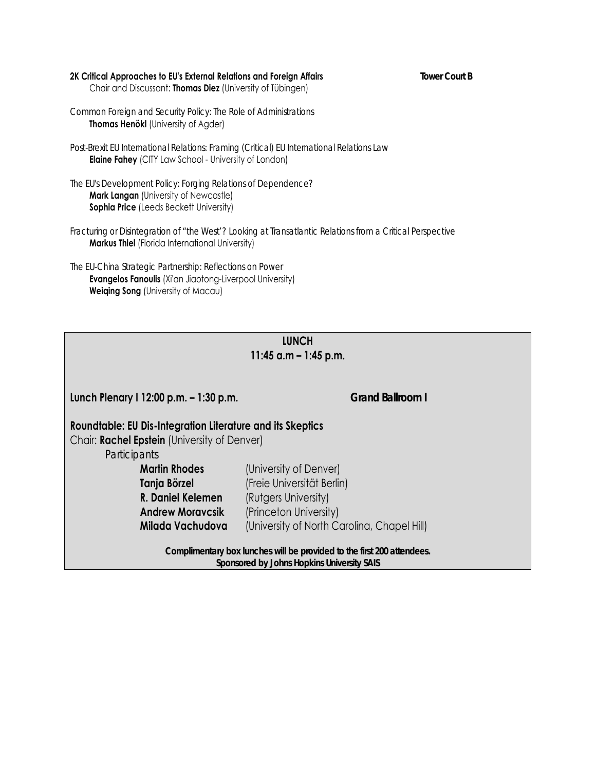#### **2K Critical Approaches to EU's External Relations and Foreign Affairs** *Tower Court B*  Chair and Discussant: **Thomas Diez** (University of Tübingen)

*Common Foreign and Security Policy: The Role of Administrations* **Thomas Henökl** (University of Agder)

*Post-Brexit EU International Relations: Framing (Critical) EU International Relations Law* **Elaine Fahey** (CITY Law School - University of London)

*The EU's Development Policy: Forging Relations of Dependence?* **Mark Langan** (University of Newcastle) **Sophia Price** (Leeds Beckett University)

*Fracturing or Disintegration of "the West'? Looking at Transatlantic Relations from a Critical Perspective* **Markus Thiel** (Florida International University)

*The EU-China Strategic Partnership: Reflections on Power* **Evangelos Fanoulis** (Xi'an Jiaotong-Liverpool University) **Weiqing Song** (University of Macau)

# **LUNCH 11:45 a.m – 1:45 p.m.**

**Lunch Plenary I 12:00 p.m. – 1:30 p.m.** *Grand Ballroom I*

# **Roundtable: EU Dis-Integration Literature and its Skeptics**

Chair: **Rachel Epstein** (University of Denver)

*Participants* 

| (University of Denver)                      |
|---------------------------------------------|
| (Freie Universität Berlin)                  |
| (Rutgers University)                        |
| (Princeton University)                      |
| (University of North Carolina, Chapel Hill) |
|                                             |

*Complimentary box lunches will be provided to the first 200 attendees. Sponsored by Johns Hopkins University SAIS*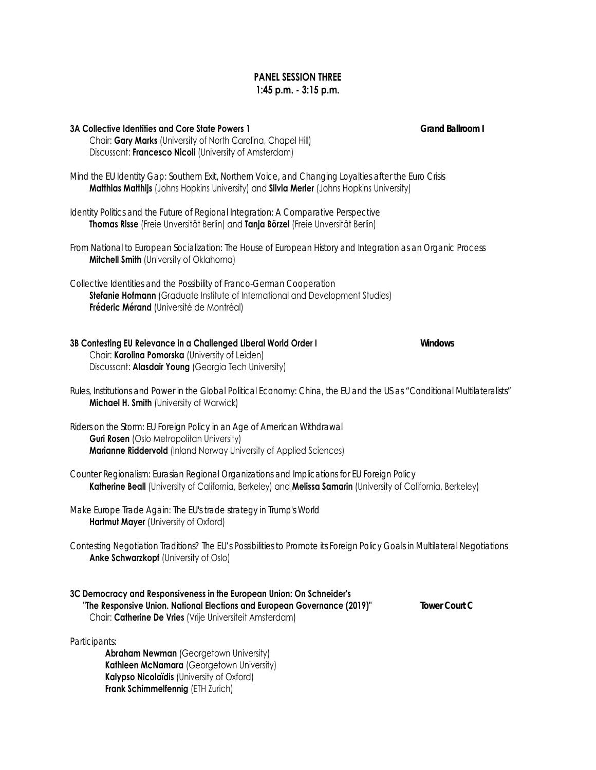### **PANEL SESSION THREE 1:45 p.m. - 3:15 p.m.**

# **3A Collective Identities and Core State Powers 1** *Grand Ballroom I* Chair: **Gary Marks** (University of North Carolina, Chapel Hill) Discussant: **Francesco Nicoli** (University of Amsterdam)

*Mind the EU Identity Gap: Southern Exit, Northern Voice, and Changing Loyalties after the Euro Crisis* **Matthias Matthijs** (Johns Hopkins University) and **Silvia Merler** (Johns Hopkins University)

*Identity Politics and the Future of Regional Integration: A Comparative Perspective* **Thomas Risse** (Freie Unversität Berlin) and **Tanja Börzel** (Freie Unversität Berlin)

*From National to European Socialization: The House of European History and Integration as an Organic Process* **Mitchell Smith** (University of Oklahoma)

*Collective Identities and the Possibility of Franco-German Cooperation*

**Stefanie Hofmann** (Graduate Institute of International and Development Studies) **Fréderic Mérand** (Université de Montréal)

| 3B Contesting EU Relevance in a Challenged Liberal World Order I | Windows |
|------------------------------------------------------------------|---------|
| Chair: Karolina Pomorska (University of Leiden)                  |         |
| Discussant: Alasdair Young (Georgia Tech University)             |         |

*Rules, Institutions and Power in the Global Political Economy: China, the EU and the US as "Conditional Multilateralists"* **Michael H. Smith** (University of Warwick)

*Riders on the Storm: EU Foreign Policy in an Age of American Withdrawal*  **Guri Rosen** (Oslo Metropolitan University) **Marianne Riddervold** (Inland Norway University of Applied Sciences)

- *Counter Regionalism: Eurasian Regional Organizations and Implications for EU Foreign Policy* **Katherine Beall** (University of California, Berkeley) and **Melissa Samarin** (University of California, Berkeley)
- *Make Europe Trade Again: The EU's trade strategy in Trump's World* **Hartmut Mayer** (University of Oxford)
- *Contesting Negotiation Traditions? The EU's Possibilities to Promote its Foreign Policy Goals in Multilateral Negotiations*  **Anke Schwarzkopf** (University of Oslo)

| 3C Democracy and Responsiveness in the European Union: On Schneider's     |  |
|---------------------------------------------------------------------------|--|
| "The Responsive Union. National Elections and European Governance (2019)" |  |
| Chair: Catherine De Vries (Vrije Universiteit Amsterdam)                  |  |

*Participants:* 

**Abraham Newman** (Georgetown University) **Kathleen McNamara** (Georgetown University) **Kalypso Nicolaïdis** (University of Oxford) **Frank Schimmelfennig** (ETH Zurich)

 **Tower Court C**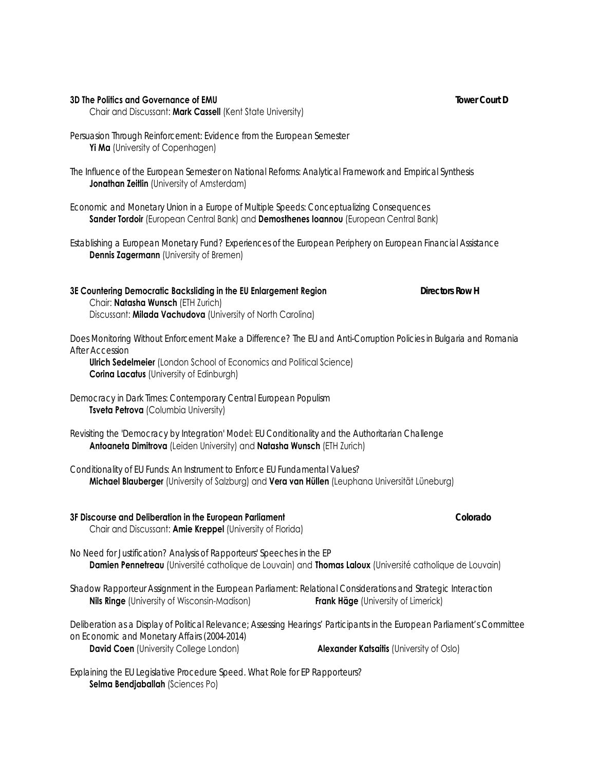#### **3D The Politics and Governance of EMU** *Tower Court D*

Chair and Discussant: **Mark Cassell** (Kent State University)

*Persuasion Through Reinforcement: Evidence from the European Semester* **Yi Ma** (University of Copenhagen)

*The Influence of the European Semester on National Reforms: Analytical Framework and Empirical Synthesis* **Jonathan Zeitlin** (University of Amsterdam)

*Economic and Monetary Union in a Europe of Multiple Speeds: Conceptualizing Consequences* **Sander Tordoir** (European Central Bank) and **Demosthenes Ioannou** (European Central Bank)

*Establishing a European Monetary Fund? Experiences of the European Periphery on European Financial Assistance* **Dennis Zagermann** (University of Bremen)

**3E Countering Democratic Backsliding in the EU Enlargement Region** *Directors Row H* Chair: **Natasha Wunsch** (ETH Zurich) Discussant: **Milada Vachudova** (University of North Carolina)

*Does Monitoring Without Enforcement Make a Difference? The EU and Anti-Corruption Policies in Bulgaria and Romania After Accession* 

 **Ulrich Sedelmeier** (London School of Economics and Political Science) **Corina Lacatus** (University of Edinburgh)

- *Democracy in Dark Times: Contemporary Central European Populism* **Tsveta Petrova** (Columbia University)
- *Revisiting the 'Democracy by Integration' Model: EU Conditionality and the Authoritarian Challenge* **Antoaneta Dimitrova** (Leiden University) and **Natasha Wunsch** (ETH Zurich)

*Conditionality of EU Funds: An Instrument to Enforce EU Fundamental Values?* **Michael Blauberger** (University of Salzburg) and **Vera van Hüllen** (Leuphana Universität Lüneburg)

# **3F Discourse and Deliberation in the European Parliament** *Colorado*

Chair and Discussant: **Amie Kreppel** (University of Florida)

- *No Need for Justification? Analysis of Rapporteurs' Speeches in the EP* **Damien Pennetreau** (Université catholique de Louvain) and **Thomas Laloux** (Université catholique de Louvain)
- *Shadow Rapporteur Assignment in the European Parliament: Relational Considerations and Strategic Interaction* **Nils Ringe** (University of Wisconsin-Madison) **Frank Häge** (University of Limerick)

*Deliberation as a Display of Political Relevance; Assessing Hearings' Participants in the European Parliament's Committee on Economic and Monetary Affairs (2004-2014)* **David Coen** (University College London) **Alexander Katsaitis** (University of Oslo)

*Explaining the EU Legislative Procedure Speed. What Role for EP Rapporteurs?* **Selma Bendjaballah** (Sciences Po)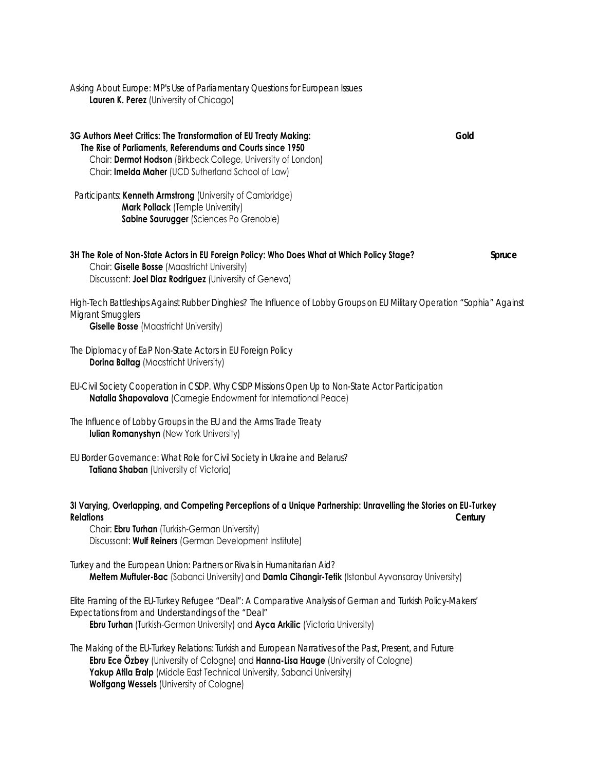*Asking About Europe: MP's Use of Parliamentary Questions for European Issues* **Lauren K. Perez** (University of Chicago)

**3G Authors Meet Critics: The Transformation of EU Treaty Making:** *Gold* **The Rise of Parliaments, Referendums and Courts since 1950** Chair: **Dermot Hodson** (Birkbeck College, University of London) Chair: **Imelda Maher** (UCD Sutherland School of Law)

 *Participants*: **Kenneth Armstrong** (University of Cambridge) **Mark Pollack** (Temple University) **Sabine Saurugger** (Sciences Po Grenoble)

#### **3H The Role of Non-State Actors in EU Foreign Policy: Who Does What at Which Policy Stage?** *Spruce* Chair: **Giselle Bosse** (Maastricht University) Discussant: **Joel Diaz Rodriguez** (University of Geneva)

*High-Tech Battleships Against Rubber Dinghies? The Influence of Lobby Groups on EU Military Operation "Sophia" Against Migrant Smugglers*

**Giselle Bosse** (Maastricht University)

*The Diplomacy of EaP Non-State Actors in EU Foreign Policy* **Dorina Baltag** (Maastricht University)

*EU-Civil Society Cooperation in CSDP. Why CSDP Missions Open Up to Non-State Actor Participation* **Natalia Shapovalova** (Carnegie Endowment for International Peace)

*The Influence of Lobby Groups in the EU and the Arms Trade Treaty* **Iulian Romanyshyn** (New York University)

*EU Border Governance: What Role for Civil Society in Ukraine and Belarus?* **Tatiana Shaban** (University of Victoria)

### **3I Varying, Overlapping, and Competing Perceptions of a Unique Partnership: Unravelling the Stories on EU-Turkey Relations** *Century*

 Chair: **Ebru Turhan** (Turkish-German University) Discussant: **Wulf Reiners** (German Development Institute)

*Turkey and the European Union: Partners or Rivals in Humanitarian Aid?* **Meltem Muftuler-Bac** (Sabanci University) and **Damla Cihangir-Tetik** (Istanbul Ayvansaray University)

*Elite Framing of the EU-Turkey Refugee "Deal": A Comparative Analysis of German and Turkish Policy-Makers' Expectations from and Understandings of the "Deal"*

**Ebru Turhan** (Turkish-German University) and **Ayca Arkilic** (Victoria University)

*The Making of the EU-Turkey Relations: Turkish and European Narratives of the Past, Present, and Future* **Ebru Ece Özbey** (University of Cologne) and **Hanna-Lisa Hauge** (University of Cologne) Yakup Atila Eralp (Middle East Technical University, Sabanci University) **Wolfgang Wessels** (University of Cologne)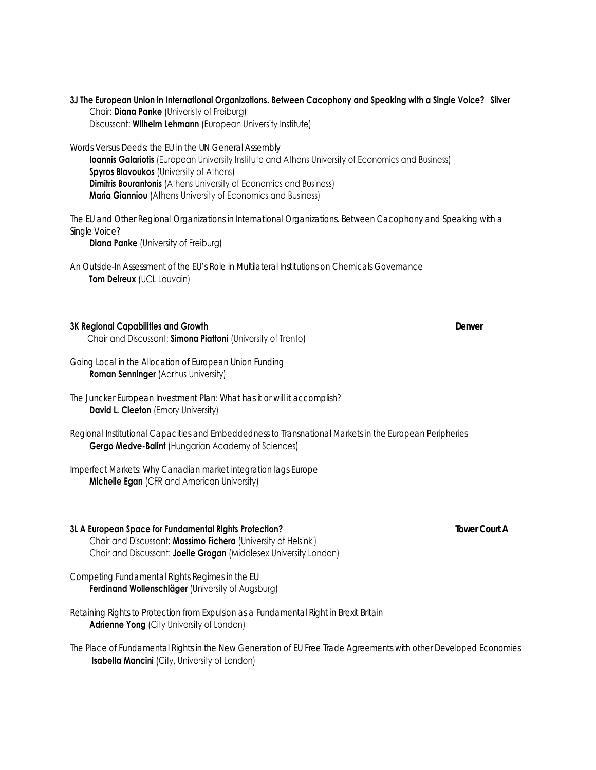#### **3J The European Union in International Organizations. Between Cacophony and Speaking with a Single Voice? Silver** Chair: **Diana Panke** (Univeristy of Freiburg)

Discussant: **Wilhelm Lehmann** (European University Institute)

*Words Versus Deeds: the EU in the UN General Assembly* 

**Ioannis Galariotis** (European University Institute and Athens University of Economics and Business) **Spyros Blavoukos** (University of Athens) **Dimitris Bourantonis** (Athens University of Economics and Business) **Maria Gianniou** (Athens University of Economics and Business)

*The EU and Other Regional Organizations in International Organizations. Between Cacophony and Speaking with a Single Voice?*

**Diana Panke** (University of Freiburg)

*An Outside-In Assessment of the EU's Role in Multilateral Institutions on Chemicals Governance* **Tom Delreux** (UCL Louvain)

#### **3K Regional Capabilities and Growth** *Denver*

Chair and Discussant: **Simona Piattoni** (University of Trento)

*Going Local in the Allocation of European Union Funding* **Roman Senninger** (Aarhus University)

*The Juncker European Investment Plan: What has it or will it accomplish?* **David L. Cleeton** (Emory University)

*Regional Institutional Capacities and Embeddedness to Transnational Markets in the European Peripheries* **Gergo Medve-Balint** (Hungarian Academy of Sciences)

*Imperfect Markets: Why Canadian market integration lags Europe*  **Michelle Egan** (CFR and American University)

### **3L A European Space for Fundamental Rights Protection?** *Tower Court A*

 Chair and Discussant: **Massimo Fichera** (University of Helsinki)Chair and Discussant: **Joelle Grogan** (Middlesex University London)

*Competing Fundamental Rights Regimes in the EU* **Ferdinand Wollenschläger** (University of Augsburg)

*Retaining Rights to Protection from Expulsion as a Fundamental Right in Brexit Britain*  **Adrienne Yong** (City University of London)

*The Place of Fundamental Rights in the New Generation of EU Free Trade Agreements with other Developed Economies*  **Isabella Mancini** (City, University of London)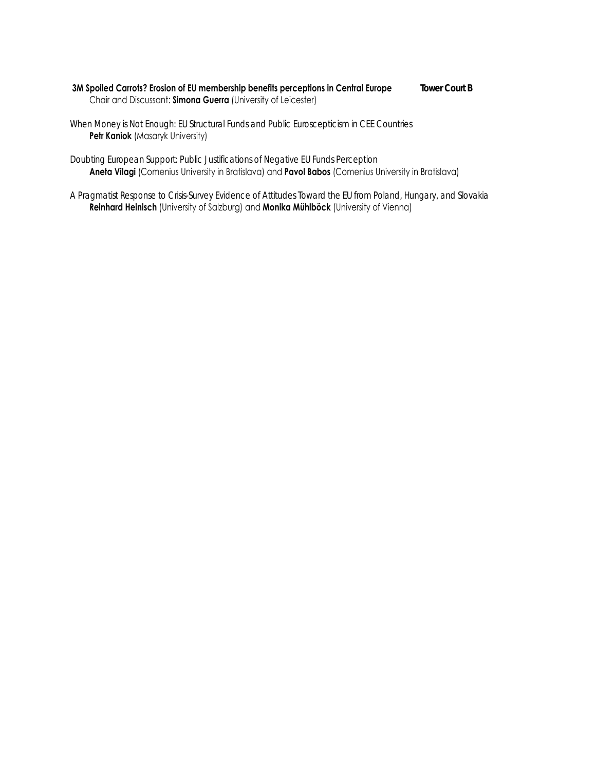#### **3M Spoiled Carrots? Erosion of EU membership benefits perceptions in Central Europe** *Tower Court B* Chair and Discussant: **Simona Guerra** (University of Leicester)

*When Money is Not Enough: EU Structural Funds and Public Euroscepticism in CEE Countries* **Petr Kaniok** (Masaryk University)

*Doubting European Support: Public Justifications of Negative EU Funds Perception* **Aneta Vilagi** (Comenius University in Bratislava) and **Pavol Babos** (Comenius University in Bratislava)

*A Pragmatist Response to Crisis-Survey Evidence of Attitudes Toward the EU from Poland, Hungary, and Slovakia* **Reinhard Heinisch** (University of Salzburg) and **Monika Mühlböck** (University of Vienna)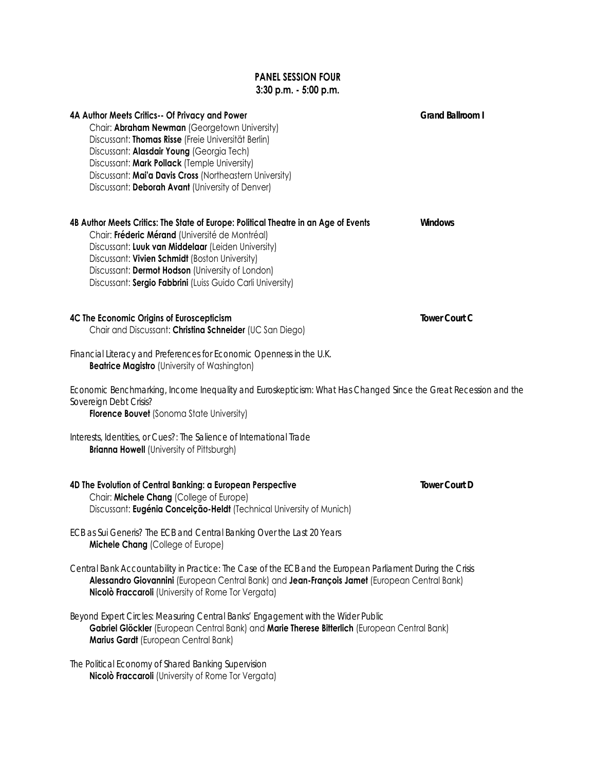# **PANEL SESSION FOUR 3:30 p.m. - 5:00 p.m.**

| 4A Author Meets Critics-- Of Privacy and Power<br>Chair: Abraham Newman (Georgetown University)<br>Discussant: Thomas Risse (Freie Universität Berlin)<br>Discussant: Alasdair Young (Georgia Tech)<br>Discussant: Mark Pollack (Temple University)<br>Discussant: Mai'a Davis Cross (Northeastern University)<br>Discussant: Deborah Avant (University of Denver) | Grand Ballroom I     |
|--------------------------------------------------------------------------------------------------------------------------------------------------------------------------------------------------------------------------------------------------------------------------------------------------------------------------------------------------------------------|----------------------|
| 4B Author Meets Critics: The State of Europe: Political Theatre in an Age of Events<br>Chair: Fréderic Mérand (Université de Montréal)<br>Discussant: Luuk van Middelaar (Leiden University)<br>Discussant: Vivien Schmidt (Boston University)<br>Discussant: Dermot Hodson (University of London)<br>Discussant: Sergio Fabbrini (Luiss Guido Carli University)   | <b>Windows</b>       |
| 4C The Economic Origins of Euroscepticism<br>Chair and Discussant: Christina Schneider (UC San Diego)                                                                                                                                                                                                                                                              | <b>Tower Court C</b> |
| Financial Literacy and Preferences for Economic Openness in the U.K.<br><b>Beatrice Magistro (University of Washington)</b>                                                                                                                                                                                                                                        |                      |
| Economic Benchmarking, Income Inequality and Euroskepticism: What Has Changed Since the Great Recession and the<br>Sovereign Debt Crisis?<br><b>Florence Bouvet</b> (Sonoma State University)                                                                                                                                                                      |                      |
| Interests, Identities, or Cues?: The Salience of International Trade<br><b>Brianna Howell (University of Pittsburgh)</b>                                                                                                                                                                                                                                           |                      |
| 4D The Evolution of Central Banking: a European Perspective<br>Chair: Michele Chang (College of Europe)<br>Discussant: Eugénia Conceição-Heldt (Technical University of Munich)                                                                                                                                                                                    | <b>Tower Court D</b> |
| ECB as Sui Generis? The ECB and Central Banking Over the Last 20 Years<br>Michele Chang (College of Europe)                                                                                                                                                                                                                                                        |                      |
| Central Bank Accountability in Practice: The Case of the ECB and the European Parliament During the Crisis<br>Alessandro Giovannini (European Central Bank) and Jean-François Jamet (European Central Bank)<br>Nicolò Fraccaroli (University of Rome Tor Vergata)                                                                                                  |                      |
| Beyond Expert Circles: Measuring Central Banks' Engagement with the Wider Public<br>Gabriel Glöckler (European Central Bank) and Marie Therese Bitterlich (European Central Bank)<br>Marius Gardt (European Central Bank)                                                                                                                                          |                      |

*The Political Economy of Shared Banking Supervision* **Nicolò Fraccaroli** (University of Rome Tor Vergata)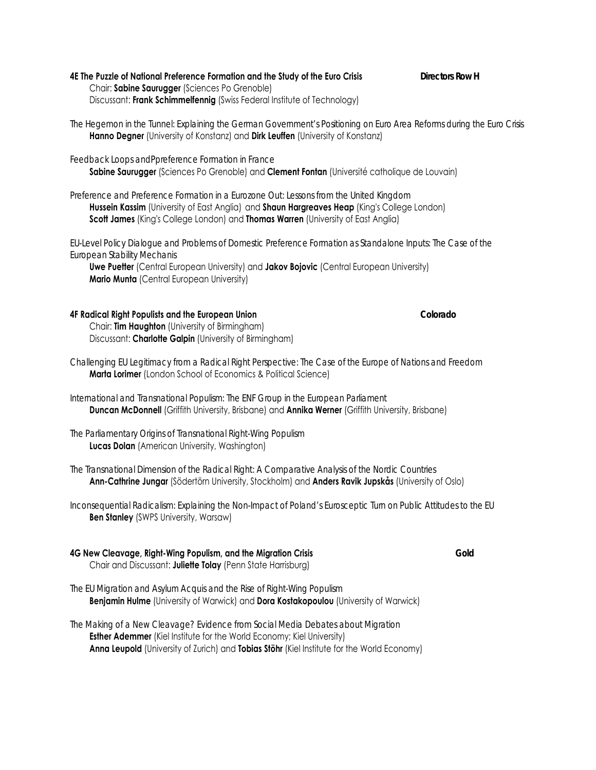| 4E The Puzzle of National Preference Formation and the Study of the Euro Crisis | <b>Directors Row H</b> |
|---------------------------------------------------------------------------------|------------------------|
| Chair: Sabine Saurugger (Sciences Po Grenoble)                                  |                        |
| Discussant: Frank Schimmelfennig (Swiss Federal Institute of Technology)        |                        |

- *The Hegemon in the Tunnel: Explaining the German Government's Positioning on Euro Area Reforms during the Euro Crisis* **Hanno Degner** (University of Konstanz) and **Dirk Leuffen** (University of Konstanz)
- *Feedback Loops andPpreference Formation in France* **Sabine Saurugger** (Sciences Po Grenoble) and **Clement Fontan** (Université catholique de Louvain)
- *Preference and Preference Formation in a Eurozone Out: Lessons from the United Kingdom* **Hussein Kassim** (University of East Anglia) and **Shaun Hargreaves Heap** (King's College London) **Scott James** (King's College London) and **Thomas Warren** (University of East Anglia)

*EU-Level Policy Dialogue and Problems of Domestic Preference Formation as Standalone Inputs: The Case of the European Stability Mechanis*

 **Uwe Puetter** (Central European University) and **Jakov Bojovic** (Central European University) **Mario Munta** (Central European University)

#### **4F Radical Right Populists and the European Union** *Colorado*

 Chair: **Tim Haughton** (University of Birmingham) Discussant: **Charlotte Galpin** (University of Birmingham)

- *Challenging EU Legitimacy from a Radical Right Perspective: The Case of the Europe of Nations and Freedom* **Marta Lorimer** (London School of Economics & Political Science)
- *International and Transnational Populism: The ENF Group in the European Parliament* **Duncan McDonnell** (Griffith University, Brisbane) and **Annika Werner** (Griffith University, Brisbane)

*The Parliamentary Origins of Transnational Right-Wing Populism* **Lucas Dolan** (American University, Washington)

- *The Transnational Dimension of the Radical Right: A Comparative Analysis of the Nordic Countries*  **Ann-Cathrine Jungar** (Södertörn University, Stockholm) and **Anders Ravik Jupskås** (University of Oslo)
- *Inconsequential Radicalism: Explaining the Non-Impact of Poland's Eurosceptic Turn on Public Attitudes to the EU* **Ben Stanley** (SWPS University, Warsaw)

#### **4G New Cleavage, Right-Wing Populism, and the Migration Crisis** *Gold* Chair and Discussant: **Juliette Tolay** (Penn State Harrisburg)

- *The EU Migration and Asylum Acquis and the Rise of Right-Wing Populism* **Benjamin Hulme** (University of Warwick) and **Dora Kostakopoulou** (University of Warwick)
- *The Making of a New Cleavage? Evidence from Social Media Debates about Migration* **Esther Ademmer** (Kiel Institute for the World Economy; Kiel University) **Anna Leupold** (University of Zurich) and **Tobias Stöhr** (Kiel Institute for the World Economy)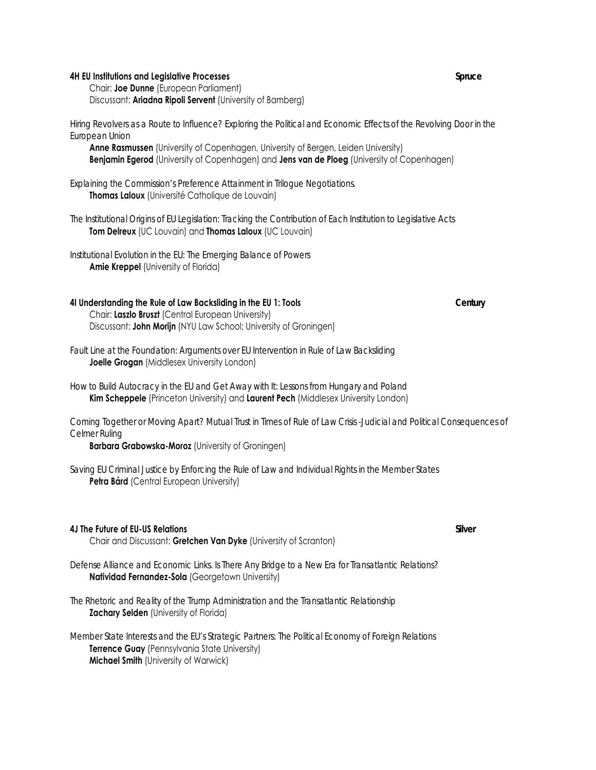#### **4H EU Institutions and Legislative Processes** *Spruce*

 Chair: **Joe Dunne** (European Parliament) Discussant: **Ariadna Ripoli Servent** (University of Bamberg)

*Hiring Revolvers as a Route to Influence? Exploring the Political and Economic Effects of the Revolving Door in the European Union*

**Anne Rasmussen** (University of Copenhagen, University of Bergen, Leiden University) **Benjamin Egerod** (University of Copenhagen) and **Jens van de Ploeg** (University of Copenhagen)

*Explaining the Commission's Preference Attainment in Trilogue Negotiations.*  **Thomas Laloux** (Université Catholique de Louvain)

*The Institutional Origins of EU Legislation: Tracking the Contribution of Each Institution to Legislative Acts* **Tom Delreux** (UC Louvain) and **Thomas Laloux** (UC Louvain)

*Institutional Evolution in the EU: The Emerging Balance of Powers* **Amie Kreppel** (University of Florida)

#### **4I Understanding the Rule of Law Backsliding in the EU 1: Tools** *Century* Chair: **Laszlo Bruszt** (Central European University) Discussant: **John Morijn** (NYU Law School; University of Groningen)

*Fault Line at the Foundation: Arguments over EU Intervention in Rule of Law Backsliding* **Joelle Grogan** (Middlesex University London)

*How to Build Autocracy in the EU and Get Away with It: Lessons from Hungary and Poland* **Kim Scheppele** (Princeton University) and **Laurent Pech** (Middlesex University London)

*Coming Together or Moving Apart? Mutual Trust in Times of Rule of Law Crisis -Judicial and Political Consequences of Celmer Ruling*

**Barbara Grabowska-Moroz** (University of Groningen)

*Saving EU Criminal Justice by Enforcing the Rule of Law and Individual Rights in the Member States* **Petra Bárd** (Central European University)

#### **4J The Future of EU-US Relations** *Silver* Chair and Discussant: **Gretchen Van Dyke** (University of Scranton)

*Defense Alliance and Economic Links. Is There Any Bridge to a New Era for Transatlantic Relations?*  **Natividad Fernandez-Sola** (Georgetown University)

*The Rhetoric and Reality of the Trump Administration and the Transatlantic Relationship* **Zachary Selden** (University of Florida)

*Member State Interests and the EU's Strategic Partners: The Political Economy of Foreign Relations* **Terrence Guay** (Pennsylvania State University) **Michael Smith** (University of Warwick)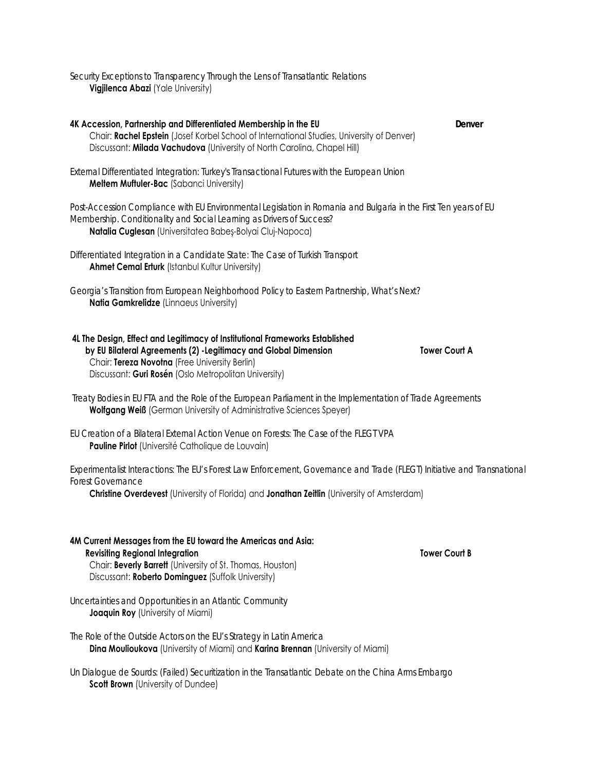*Security Exceptions to Transparency Through the Lens of Transatlantic Relations*  **Vigjilenca Abazi** (Yale University)

**4K Accession, Partnership and Differentiated Membership in the EU** *Denver* Chair: **Rachel Epstein** (Josef Korbel School of International Studies, University of Denver) Discussant: **Milada Vachudova** (University of North Carolina, Chapel Hill)

*External Differentiated Integration: Turkey's Transactional Futures with the European Union* **Meltem Muftuler-Bac** (Sabanci University)

*Post-Accession Compliance with EU Environmental Legislation in Romania and Bulgaria in the First Ten years of EU Membership. Conditionality and Social Learning as Drivers of Success?* **Natalia Cuglesan** (Universitatea Babeş-Bolyai Cluj-Napoca)

*Differentiated Integration in a Candidate State: The Case of Turkish Transport* **Ahmet Cemal Erturk** (Istanbul Kultur University)

*Georgia's Transition from European Neighborhood Policy to Eastern Partnership, What's Next?* **Natia Gamkrelidze** (Linnaeus University)

| 4L The Design, Effect and Legitimacy of Institutional Frameworks Established |                      |
|------------------------------------------------------------------------------|----------------------|
| by EU Bilateral Agreements (2) - Legitimacy and Global Dimension             | <b>Tower Courl A</b> |
| Chair: Tereza Novotna (Free University Berlin)                               |                      |
| Discussant: Guri Rosén (Oslo Metropolitan University)                        |                      |

*Treaty Bodies in EU FTA and the Role of the European Parliament in the Implementation of Trade Agreements* **Wolfgang Weiß** (German University of Administrative Sciences Speyer)

*EU Creation of a Bilateral External Action Venue on Forests: The Case of the FLEGT VPA* **Pauline Pirlot** (Université Catholique de Louvain)

*Experimentalist Interactions: The EU's Forest Law Enforcement, Governance and Trade (FLEGT) Initiative and Transnational Forest Governance*

**Christine Overdevest** (University of Florida) and **Jonathan Zeitlin** (University of Amsterdam)

**4M Current Messages from the EU toward the Americas and Asia: Revisiting Regional Integration Theory Court B** Revisiting Regional Integration Chair: **Beverly Barrett** (University of St. Thomas, Houston) Discussant: **Roberto Dominguez** (Suffolk University)

*Uncertainties and Opportunities in an Atlantic Community* **Joaquin Roy** (University of Miami)

*The Role of the Outside Actors on the EU's Strategy in Latin America* **Dina Moulioukova** (University of Miami) and **Karina Brennan** (University of Miami)

*Un Dialogue de Sourds: (Failed) Securitization in the Transatlantic Debate on the China Arms Embargo* **Scott Brown** (University of Dundee)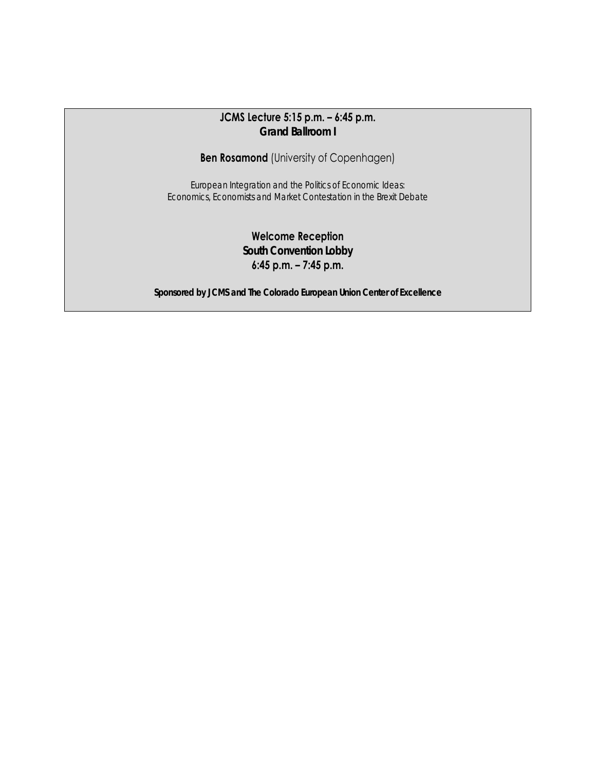# **JCMS Lecture 5:15 p.m. – 6:45 p.m.**  *Grand Ballroom I*

**Ben Rosamond** (University of Copenhagen)

*European Integration and the Politics of Economic Ideas: Economics, Economists and Market Contestation in the Brexit Debate* 

> **Welcome Reception**  *South Convention Lobby*  **6:45 p.m. – 7:45 p.m.**

*Sponsored by JCMS and The Colorado European Union Center of Excellence*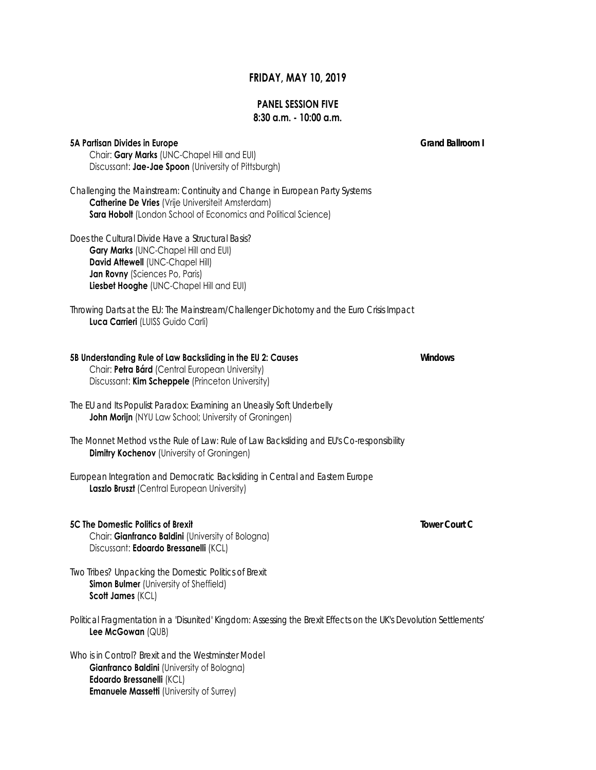### **FRIDAY, MAY 10, 2019**

### **PANEL SESSION FIVE 8:30 a.m. - 10:00 a.m.**

#### **5A Partisan Divides in Europe** *Grand Ballroom I*

 Chair: **Gary Marks** (UNC-Chapel Hill and EUI) Discussant: **Jae-Jae Spoon** (University of Pittsburgh)

*Challenging the Mainstream: Continuity and Change in European Party Systems* **Catherine De Vries** (Vrije Universiteit Amsterdam) **Sara Hobolt** (London School of Economics and Political Science)

*Does the Cultural Divide Have a Structural Basis?* 

 **Gary Marks** (UNC-Chapel Hill and EUI) **David Attewell** (UNC-Chapel Hill) **Jan Rovny** (Sciences Po, Paris) **Liesbet Hooghe** (UNC-Chapel Hill and EUI)

*Throwing Darts at the EU: The Mainstream/Challenger Dichotomy and the Euro Crisis Impact*  **Luca Carrieri** (LUISS Guido Carli)

### **5B Understanding Rule of Law Backsliding in the EU 2: Causes** *Windows*

 Chair: **Petra Bárd** (Central European University) Discussant: **Kim Scheppele** (Princeton University)

- *The EU and Its Populist Paradox: Examining an Uneasily Soft Underbelly* **John Morijn** (NYU Law School; University of Groningen)
- *The Monnet Method vs the Rule of Law: Rule of Law Backsliding and EU's Co-responsibility* **Dimitry Kochenov** (University of Groningen)
- *European Integration and Democratic Backsliding in Central and Eastern Europe* **Laszlo Bruszt** (Central European University)
- **5C The Domestic Politics of Brexit** *Tower Court C* Chair: **Gianfranco Baldini** (University of Bologna) Discussant: **Edoardo Bressanelli** (KCL)

*Two Tribes? Unpacking the Domestic Politics of Brexit* **Simon Bulmer** (University of Sheffield) **Scott James** (KCL)

*Political Fragmentation in a 'Disunited' Kingdom: Assessing the Brexit Effects on the UK's Devolution Settlements'* **Lee McGowan** (QUB)

*Who is in Control? Brexit and the Westminster Model*  **Gianfranco Baldini** (University of Bologna) **Edoardo Bressanelli** (KCL) **Emanuele Massetti** (University of Surrey)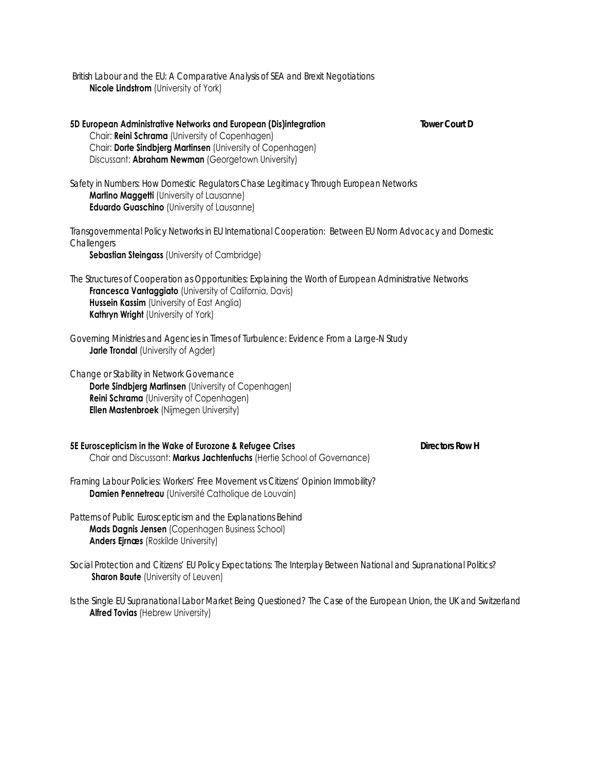*British Labour and the EU: A Comparative Analysis of SEA and Brexit Negotiations*  **Nicole Lindstrom** (University of York)

**5D European Administrative Networks and European (Dis)integration** *Tower Court D*  Chair: **Reini Schrama** (University of Copenhagen) Chair: **Dorte Sindbjerg Martinsen** (University of Copenhagen) Discussant: **Abraham Newman** (Georgetown University)

*Safety in Numbers: How Domestic Regulators Chase Legitimacy Through European Networks* **Martino Maggetti** (University of Lausanne) **Eduardo Guaschino** (University of Lausanne)

*Transgovernmental Policy Networks in EU International Cooperation: Between EU Norm Advocacy and Domestic Challengers*

**Sebastian Steingass** (University of Cambridge)

*The Structures of Cooperation as Opportunities: Explaining the Worth of European Administrative Networks* **Francesca Vantaggiato** (University of California, Davis) **Hussein Kassim** (University of East Anglia) **Kathryn Wright** (University of York)

*Governing Ministries and Agencies in Times of Turbulence: Evidence From a Large-N Study* **Jarle Trondal** (University of Agder)

*Change or Stability in Network Governance* **Dorte Sindbjerg Martinsen** (University of Copenhagen) **Reini Schrama** (University of Copenhagen) **Ellen Mastenbroek** (Nijmegen University)

**5E Euroscepticism in the Wake of Eurozone & Refugee Crises** *Directors Row H*  Chair and Discussant: **Markus Jachtenfuchs** (Hertie School of Governance)

*Framing Labour Policies: Workers' Free Movement vs Citizens' Opinion Immobility?* **Damien Pennetreau** (Université Catholique de Louvain)

*Patterns of Public Euroscepticism and the Explanations Behind* **Mads Dagnis Jensen** (Copenhagen Business School) **Anders Ejrnæs** (Roskilde University)

*Social Protection and Citizens' EU Policy Expectations: The Interplay Between National and Supranational Politics?* **Sharon Baute** (University of Leuven)

*Is the Single EU Supranational Labor Market Being Questioned? The Case of the European Union, the UK and Switzerland* **Alfred Tovias** (Hebrew University)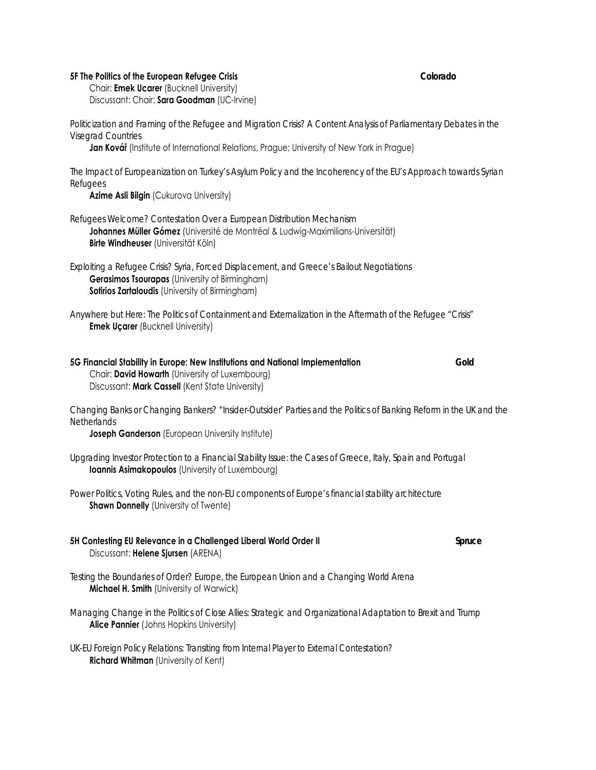#### **5F The Politics of the European Refugee Crisis** *Colorado*

 Chair: **Emek Ucarer** (Bucknell University) Discussant: Chair: **Sara Goodman** (UC-Irvine)

*Politicization and Framing of the Refugee and Migration Crisis? A Content Analysis of Parliamentary Debates in the Visegrad Countries* 

**Jan Kovář** (Institute of International Relations, Prague; University of New York in Prague)

*The Impact of Europeanization on Turkey's Asylum Policy and the Incoherency of the EU's Approach towards Syrian Refugees*

**Azime Asli Bilgin** (Cukurova University)

*Refugees Welcome? Contestation Over a European Distribution Mechanism*

 **Johannes Müller Gómez** (Université de Montréal & Ludwig-Maximilians-Universität) **Birte Windheuser** (Universität Köln)

*Exploiting a Refugee Crisis? Syria, Forced Displacement, and Greece's Bailout Negotiations* **Gerasimos Tsourapas** (University of Birmingham) **Sotirios Zartaloudis** (University of Birmingham)

*Anywhere but Here: The Politics of Containment and Externalization in the Aftermath of the Refugee "Crisis"* **Emek Uçarer** (Bucknell University)

| 5G Financial Stability in Europe: New Institutions and National Implementation | Gold |
|--------------------------------------------------------------------------------|------|
| Chair: <b>David Howarth</b> (University of Luxembourg)                         |      |
| Discussant: Mark Cassell (Kent State University)                               |      |

*Changing Banks or Changing Bankers? "Insider-Outsider' Parties and the Politics of Banking Reform in the UK and the Netherlands*

**Joseph Ganderson** (European University Institute)

*Upgrading Investor Protection to a Financial Stability Issue: the Cases of Greece, Italy, Spain and Portugal* **Ioannis Asimakopoulos** (University of Luxembourg)

*Power Politics, Voting Rules, and the non-EU components of Europe's financial stability architecture* **Shawn Donnelly** (University of Twente)

**5H Contesting EU Relevance in a Challenged Liberal World Order II** *Spruce*  Discussant: **Helene Sjursen** (ARENA)

*Testing the Boundaries of Order? Europe, the European Union and a Changing World Arena* **Michael H. Smith** (University of Warwick)

*Managing Change in the Politics of Close Allies: Strategic and Organizational Adaptation to Brexit and Trump*  **Alice Pannier** (Johns Hopkins University)

*UK-EU Foreign Policy Relations: Transiting from Internal Player to External Contestation?*  **Richard Whitman** (University of Kent)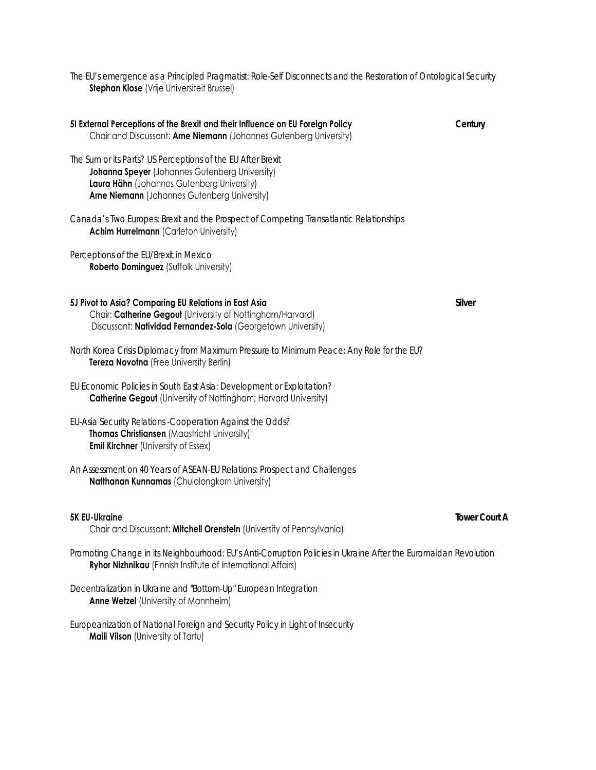*The EU's emergence as a Principled Pragmatist: Role-Self Disconnects and the Restoration of Ontological Security* **Stephan Klose** (Vrije Universiteit Brussel)

| 51 External Perceptions of the Brexit and their Influence on EU Foreign Policy<br>Chair and Discussant: Arne Niemann (Johannes Gutenberg University)                                                        | Century |
|-------------------------------------------------------------------------------------------------------------------------------------------------------------------------------------------------------------|---------|
| The Sum or its Parts? US Perceptions of the EU After Brexit<br>Johanna Speyer (Johannes Gutenberg University)<br>Laura Hähn (Johannes Gutenberg University)<br>Arne Niemann (Johannes Gutenberg University) |         |
| Canada's Two Europes: Brexit and the Prospect of Competing Transatlantic Relationships<br><b>Achim Hurrelmann (Carleton University)</b>                                                                     |         |
| Perceptions of the EU/Brexit in Mexico<br>Roberto Dominguez (Suffolk University)                                                                                                                            |         |
| 5J Pivot to Asia? Comparing EU Relations in East Asia<br>Chair: Catherine Gegout (University of Nottingham/Harvard)<br>Discussant: Natividad Fernandez-Sola (Georgetown University)                         | Silver  |
| North Korea Crisis Diplomacy from Maximum Pressure to Minimum Peace: Any Role for the EU?<br>Tereza Novotna (Free University Berlin)                                                                        |         |
| EU Economic Policies in South East Asia: Development or Exploitation?<br><b>Catherine Gegout</b> (University of Nottingham; Harvard University)                                                             |         |
| EU-Asia Security Relations - Cooperation Against the Odds?<br>Thomas Christiansen (Maastricht University)<br><b>Emil Kirchner</b> (University of Essex)                                                     |         |
| An Assessment on 40 Years of ASEAN-EU Relations: Prospect and Challenges<br>Natthanan Kunnamas (Chulalongkorn University)                                                                                   |         |
| <b>5K EU-Ukraine</b><br>Chair and Discussant: Mitchell Orenstein (University of Pennsylvania)                                                                                                               | Tower C |

*Promoting Change in its Neighbourhood: EU's Anti-Corruption Policies in Ukraine After the Euromaidan Revolution*  **Ryhor Nizhnikau** (Finnish Institute of International Affairs)

*Decentralization in Ukraine and "Bottom-Up" European Integration* **Anne Wetzel** (University of Mannheim)

*Europeanization of National Foreign and Security Policy in Light of Insecurity* **Maili Vilson** (University of Tartu)

*Tower Court A*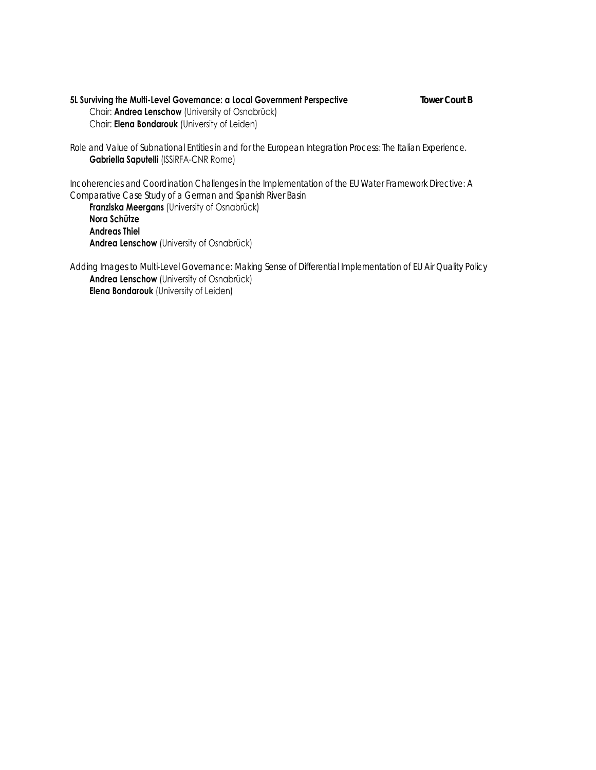#### **5L Surviving the Multi-Level Governance: a Local Government Perspective** *Tower Court B* Chair: **Andrea Lenschow** (University of Osnabrück) Chair: **Elena Bondarouk** (University of Leiden)

*Role and Value of Subnational Entities in and for the European Integration Process: The Italian Experience.*  **Gabriella Saputelli** (ISSiRFA-CNR Rome)

*Incoherencies and Coordination Challenges in the Implementation of the EU Water Framework Directive: A Comparative Case Study of a German and Spanish River Basin*

 **Franziska Meergans** (University of Osnabrück) **Nora Schütze Andreas Thiel Andrea Lenschow** (University of Osnabrück)

*Adding Images to Multi-Level Governance: Making Sense of Differential Implementation of EU Air Quality Policy*  **Andrea Lenschow** (University of Osnabrück) **Elena Bondarouk** (University of Leiden)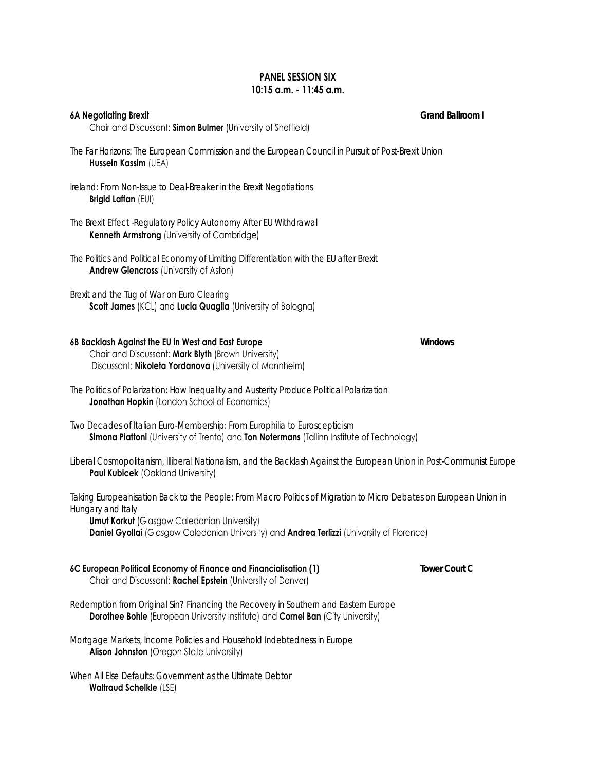# **PANEL SESSION SIX 10:15 a.m. - 11:45 a.m.**

#### **6A Negotiating Brexit** *Grand Ballroom I*

Chair and Discussant: **Simon Bulmer** (University of Sheffield)

*The Far Horizons: The European Commission and the European Council in Pursuit of Post-Brexit Union* **Hussein Kassim** (UEA)

*Ireland: From Non-Issue to Deal-Breaker in the Brexit Negotiations*  **Brigid Laffan** (EUI)

- *The Brexit Effect -Regulatory Policy Autonomy After EU Withdrawal* **Kenneth Armstrong** (University of Cambridge)
- *The Politics and Political Economy of Limiting Differentiation with the EU after Brexit* **Andrew Glencross** (University of Aston)

*Brexit and the Tug of War on Euro Clearing* **Scott James** (KCL) and **Lucia Quaglia** (University of Bologna)

# **6B Backlash Against the EU in West and East Europe** *Windows*

 Chair and Discussant: **Mark Blyth** (Brown University) Discussant: **Nikoleta Yordanova** (University of Mannheim)

- *The Politics of Polarization: How Inequality and Austerity Produce Political Polarization*  **Jonathan Hopkin** (London School of Economics)
- *Two Decades of Italian Euro-Membership: From Europhilia to Euroscepticism* **Simona Piattoni** (University of Trento) and **Ton Notermans** (Tallinn Institute of Technology)
- *Liberal Cosmopolitanism, Illiberal Nationalism, and the Backlash Against the European Union in Post-Communist Europe* **Paul Kubicek** (Oakland University)

*Taking Europeanisation Back to the People: From Macro Politics of Migration to Micro Debates on European Union in Hungary and Italy*

**Umut Korkut** *(Glasgow Caledonian University)* **Daniel Gyollai** (Glasgow Caledonian University) and **Andrea Terlizzi** (University of Florence)

**6C European Political Economy of Finance and Financialisation (1)** *Tower Court C*

Chair and Discussant: **Rachel Epstein** (University of Denver)

*Redemption from Original Sin? Financing the Recovery in Southern and Eastern Europe* **Dorothee Bohle** (European University Institute) and **Cornel Ban** (City University)

*Mortgage Markets, Income Policies and Household Indebtedness in Europe* **Alison Johnston** (Oregon State University)

*When All Else Defaults: Government as the Ultimate Debtor*  **Waltraud Schelkle** (LSE)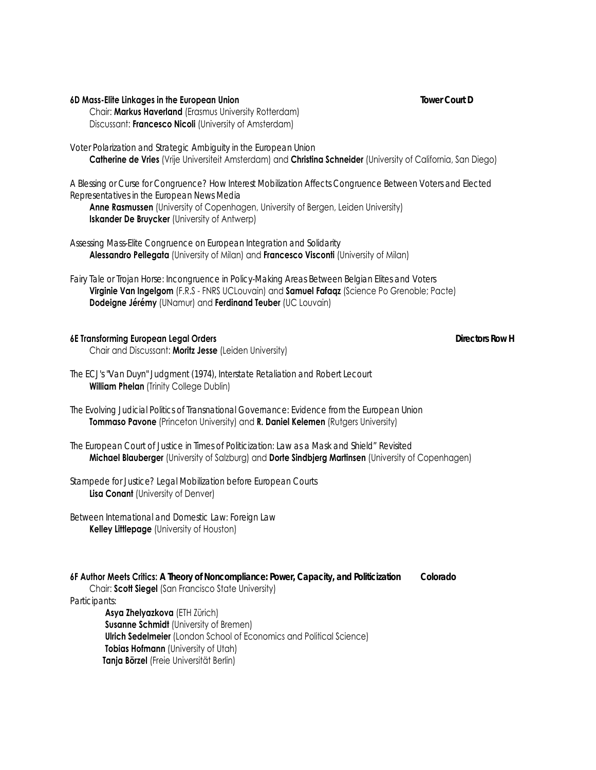#### **6D Mass-Elite Linkages in the European Union** *Tower Court D*

 Chair: **Markus Haverland** (Erasmus University Rotterdam) Discussant: **Francesco Nicoli** (University of Amsterdam)

#### *Voter Polarization and Strategic Ambiguity in the European Union*

**Catherine de Vries** (Vrije Universiteit Amsterdam) and **Christina Schneider** (University of California, San Diego)

*A Blessing or Curse for Congruence? How Interest Mobilization Affects Congruence Between Voters and Elected Representatives in the European News Media*

 **Anne Rasmussen** (University of Copenhagen, University of Bergen, Leiden University) **Iskander De Bruycker** (University of Antwerp)

*Assessing Mass-Elite Congruence on European Integration and Solidarity* **Alessandro Pellegata** (University of Milan) and **Francesco Visconti** (University of Milan)

*Fairy Tale or Trojan Horse: Incongruence in Policy-Making Areas Between Belgian Elites and Voters* **Virginie Van Ingelgom** (F.R.S - FNRS UCLouvain) and **Samuel Fafaqz** (Science Po Grenoble; Pacte) **Dodeigne Jérémy** (UNamur) and **Ferdinand Teuber** (UC Louvain)

### **6E Transforming European Legal Orders** *Directors Row H*

Chair and Discussant: **Moritz Jesse** (Leiden University)

- *The ECJ's "Van Duyn" Judgment (1974), Interstate Retaliation and Robert Lecourt* **William Phelan** (Trinity College Dublin)
- *The Evolving Judicial Politics of Transnational Governance: Evidence from the European Union* **Tommaso Pavone** (Princeton University) and **R. Daniel Kelemen** (Rutgers University)
- *The European Court of Justice in Times of Politicization: Law as a Mask and Shield" Revisited*  **Michael Blauberger** (University of Salzburg) and **Dorte Sindbjerg Martinsen** (University of Copenhagen)

*Stampede for Justice? Legal Mobilization before European Courts* **Lisa Conant** (University of Denver)

*Between International and Domestic Law: Foreign Law* **Kelley Littlepage** (University of Houston)

#### **6F Author Meets Critics:** *A Theory of Noncompliance: Power, Capacity, and Politicization Colorado* Chair: **Scott Siegel** (San Francisco State University)

*Participants:*

 **Asya Zhelyazkova** (ETH Zürich) **Susanne Schmidt** (University of Bremen) **Ulrich Sedelmeier** (London School of Economics and Political Science) **Tobias Hofmann** (University of Utah)  **Tanja Börzel** (Freie Universität Berlin)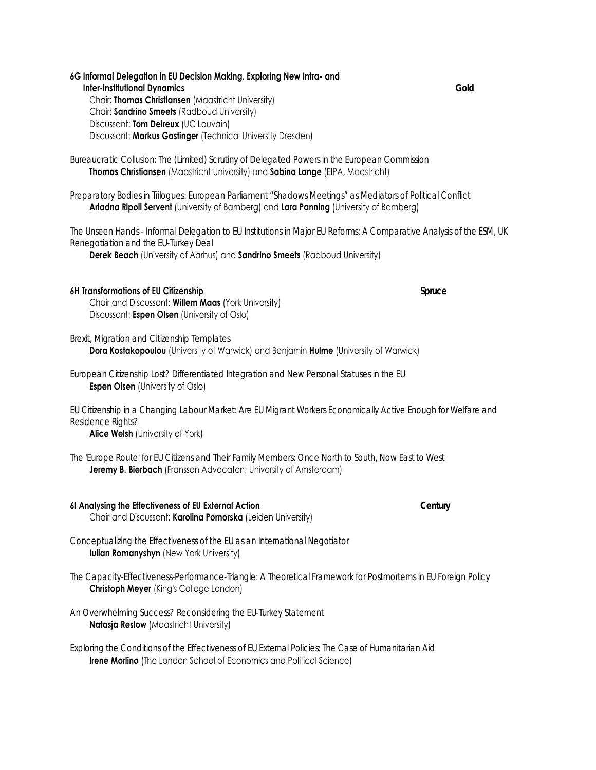**6G Informal Delegation in EU Decision Making. Exploring New Intra- and Inter-institutional Dynamics** *Gold* Chair: **Thomas Christiansen** (Maastricht University) Chair: **Sandrino Smeets** (Radboud University) Discussant: **Tom Delreux** (UC Louvain) Discussant: **Markus Gastinger** (Technical University Dresden)

*Bureaucratic Collusion: The (Limited) Scrutiny of Delegated Powers in the European Commission* **Thomas Christiansen** (Maastricht University) and **Sabina Lange** (EIPA, Maastricht)

*Preparatory Bodies in Trilogues: European Parliament "Shadows Meetings" as Mediators of Political Conflict*  **Ariadna Ripoll Servent** (University of Bamberg) and **Lara Panning** (University of Bamberg)

*The Unseen Hands - Informal Delegation to EU Institutions in Major EU Reforms: A Comparative Analysis of the ESM, UK Renegotiation and the EU-Turkey Deal*

**Derek Beach** (University of Aarhus) and **Sandrino Smeets** (Radboud University)

#### **6H Transformations of EU Citizenship** *Spruce*

 Chair and Discussant: **Willem Maas** (York University) Discussant: **Espen Olsen** (University of Oslo)

*Brexit, Migration and Citizenship Templates* **Dora Kostakopoulou** (University of Warwick) and Benjamin **Hulme** (University of Warwick)

*European Citizenship Lost? Differentiated Integration and New Personal Statuses in the EU* **Espen Olsen** (University of Oslo)

*EU Citizenship in a Changing Labour Market: Are EU Migrant Workers Economically Active Enough for Welfare and Residence Rights?*

**Alice Welsh** (University of York)

*The 'Europe Route' for EU Citizens and Their Family Members: Once North to South, Now East to West* **Jeremy B. Bierbach** (Franssen Advocaten; University of Amsterdam)

#### **6I Analysing the Effectiveness of EU External Action** *Century* Chair and Discussant: **Karolina Pomorska** (Leiden University)

*Conceptualizing the Effectiveness of the EU as an International Negotiator* **Iulian Romanyshyn** (New York University)

*The Capacity-Effectiveness-Performance-Triangle: A Theoretical Framework for Postmortems in EU Foreign Policy* **Christoph Meyer** (King's College London)

*An Overwhelming Success? Reconsidering the EU-Turkey Statement* **Natasja Reslow** (Maastricht University)

*Exploring the Conditions of the Effectiveness of EU External Policies: The Case of Humanitarian Aid* **Irene Morlino** (The London School of Economics and Political Science)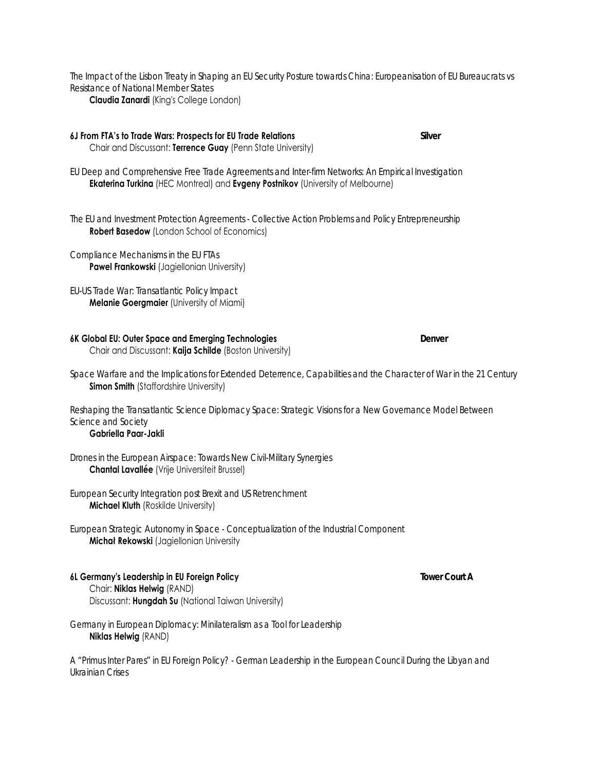*The Impact of the Lisbon Treaty in Shaping an EU Security Posture towards China: Europeanisation of EU Bureaucrats vs Resistance of National Member States* **Claudia Zanardi** (King's College London)

#### **6J From FTA's to Trade Wars: Prospects for EU Trade Relations** *Silver* Chair and Discussant: **Terrence Guay** (Penn State University)

*EU Deep and Comprehensive Free Trade Agreements and Inter-firm Networks: An Empirical Investigation* **Ekaterina Turkina** (HEC Montreal) and **Evgeny Postnikov** (University of Melbourne)

*The EU and Investment Protection Agreements - Collective Action Problems and Policy Entrepreneurship* **Robert Basedow** (London School of Economics)

*Compliance Mechanisms in the EU FTAs* **Pawel Frankowski** (Jagiellonian University)

*EU-US Trade War: Transatlantic Policy Impact* **Melanie Goergmaier** (University of Miami)

#### **6K Global EU: Outer Space and Emerging Technologies** *Denver* Chair and Discussant: **Kaija Schilde** (Boston University)

*Space Warfare and the Implications for Extended Deterrence, Capabilities and the Character of War in the 21 Century* **Simon Smith** (Staffordshire University)

*Reshaping the Transatlantic Science Diplomacy Space: Strategic Visions for a New Governance Model Between Science and Society*

#### **Gabriella Paar-Jakli**

*Drones in the European Airspace: Towards New Civil-Military Synergies* **Chantal Lavallée** (Vrije Universiteit Brussel)

*European Security Integration post Brexit and US Retrenchment* **Michael Kluth** (Roskilde University)

*European Strategic Autonomy in Space - Conceptualization of the Industrial Component* **Michał Rekowski** (Jagiellonian University

#### **6L Germany's Leadership in EU Foreign Policy** *Tower Court A* Chair: **Niklas Helwig** (RAND) Discussant: **Hungdah Su** (National Taiwan University)

*Germany in European Diplomacy: Minilateralism as a Tool for Leadership* **Niklas Helwig** (RAND)

*A "Primus Inter Pares" in EU Foreign Policy? - German Leadership in the European Council During the Libyan and Ukrainian Crises*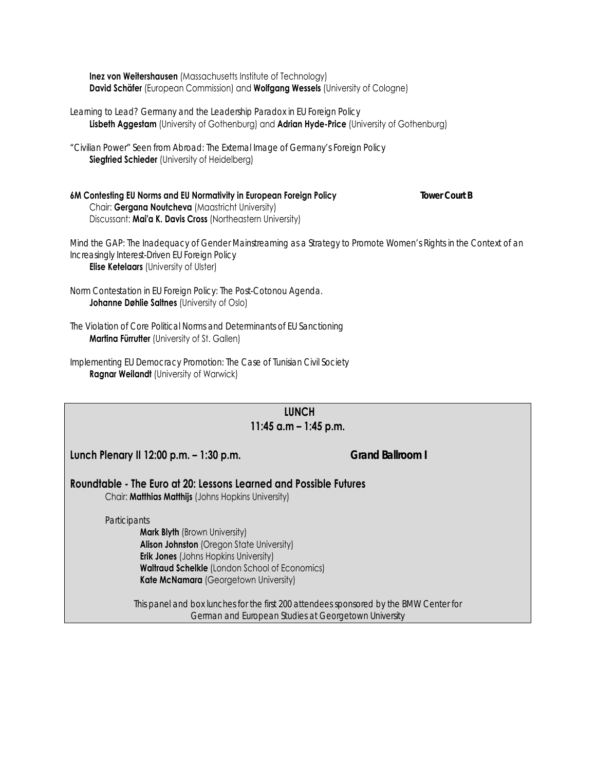**Inez von Weitershausen** (Massachusetts Institute of Technology) **David Schäfer** (European Commission) and **Wolfgang Wessels** (University of Cologne)

*Learning to Lead? Germany and the Leadership Paradox in EU Foreign Policy* **Lisbeth Aggestam** (University of Gothenburg) and **Adrian Hyde-Price** (University of Gothenburg)

*"Civilian Power" Seen from Abroad: The External Image of Germany's Foreign Policy* **Siegfried Schieder** (University of Heidelberg)

**6M Contesting EU Norms and EU Normativity in European Foreign Policy** *Tower Court B* Chair: **Gergana Noutcheva** (Maastricht University) Discussant: **Mai'a K. Davis Cross** (Northeastern University)

*Mind the GAP: The Inadequacy of Gender Mainstreaming as a Strategy to Promote Women's Rights in the Context of an Increasingly Interest-Driven EU Foreign Policy* **Elise Ketelaars** (University of Ulster)

*Norm Contestation in EU Foreign Policy: The Post-Cotonou Agenda.*  **Johanne Døhlie Saltnes** (University of Oslo)

*The Violation of Core Political Norms and Determinants of EU Sanctioning*  **Martina Fürrutter** (University of St. Gallen)

*Implementing EU Democracy Promotion: The Case of Tunisian Civil Society* **Ragnar Weilandt** (University of Warwick)

| <b>LUNCH</b><br>11:45 a.m $-$ 1:45 p.m.                                                                                                                                                                                                                    |                                                                                                                                                |  |
|------------------------------------------------------------------------------------------------------------------------------------------------------------------------------------------------------------------------------------------------------------|------------------------------------------------------------------------------------------------------------------------------------------------|--|
| Lunch Plenary II 12:00 p.m. - 1:30 p.m.                                                                                                                                                                                                                    | <b>Grand Ballroom I</b>                                                                                                                        |  |
| Roundtable - The Euro at 20: Lessons Learned and Possible Futures<br>Chair: <b>Matthias Matthijs</b> (Johns Hopkins University)                                                                                                                            |                                                                                                                                                |  |
| Participants<br><b>Mark Blyth</b> (Brown University)<br><b>Alison Johnston</b> (Oregon State University)<br><b>Erik Jones</b> (Johns Hopkins University)<br><b>Waltraud Schelkle</b> (London School of Economics)<br>Kate McNamara (Georgetown University) |                                                                                                                                                |  |
|                                                                                                                                                                                                                                                            | This panel and box lunches for the first 200 attendees sponsored by the BMW Center for<br>German and European Studies at Georgetown University |  |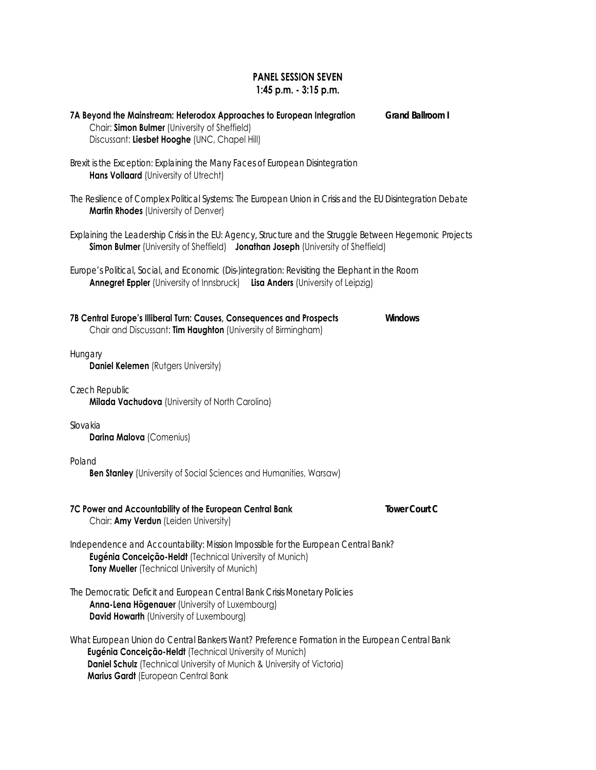# **PANEL SESSION SEVEN 1:45 p.m. - 3:15 p.m.**

| 7A Beyond the Mainstream: Heterodox Approaches to European Integration<br>Chair: Simon Bulmer (University of Sheffield)<br>Discussant: Liesbet Hooghe (UNC, Chapel Hill)                                                                                                     | Grand Ballroom I     |
|------------------------------------------------------------------------------------------------------------------------------------------------------------------------------------------------------------------------------------------------------------------------------|----------------------|
| Brexit is the Exception: Explaining the Many Faces of European Disintegration<br>Hans Vollaard (University of Utrecht)                                                                                                                                                       |                      |
| The Resilience of Complex Political Systems: The European Union in Crisis and the EU Disintegration Debate<br><b>Martin Rhodes</b> (University of Denver)                                                                                                                    |                      |
| Explaining the Leadership Crisis in the EU: Agency, Structure and the Struggle Between Hegemonic Projects<br>Simon Bulmer (University of Sheffield) Jonathan Joseph (University of Sheffield)                                                                                |                      |
| Europe's Political, Social, and Economic (Dis-)integration: Revisiting the Elephant in the Room<br><b>Annegret Eppler</b> (University of Innsbruck) Lisa Anders (University of Leipzig)                                                                                      |                      |
| 7B Central Europe's Illiberal Turn: Causes, Consequences and Prospects<br>Chair and Discussant: Tim Haughton (University of Birmingham)                                                                                                                                      | Windows              |
| Hungary<br><b>Daniel Kelemen</b> (Rutgers University)                                                                                                                                                                                                                        |                      |
| Czech Republic<br>Milada Vachudova (University of North Carolina)                                                                                                                                                                                                            |                      |
| Slovakia<br>Darina Malova (Comenius)                                                                                                                                                                                                                                         |                      |
| Poland<br><b>Ben Stanley</b> (University of Social Sciences and Humanities, Warsaw)                                                                                                                                                                                          |                      |
| 7C Power and Accountability of the European Central Bank<br>Chair: Amy Verdun (Leiden University)                                                                                                                                                                            | <b>Tower Court C</b> |
| Independence and Accountability: Mission Impossible for the European Central Bank?<br>Eugénia Conceição-Heldt (Technical University of Munich)<br>Tony Mueller (Technical University of Munich)                                                                              |                      |
| The Democratic Deficit and European Central Bank Crisis Monetary Policies<br>Anna-Lena Högenauer (University of Luxembourg)<br>David Howarth (University of Luxembourg)                                                                                                      |                      |
| What European Union do Central Bankers Want? Preference Formation in the European Central Bank<br>Eugénia Conceição-Heldt (Technical University of Munich)<br>Daniel Schulz (Technical University of Munich & University of Victoria)<br>Marius Gardt (European Central Bank |                      |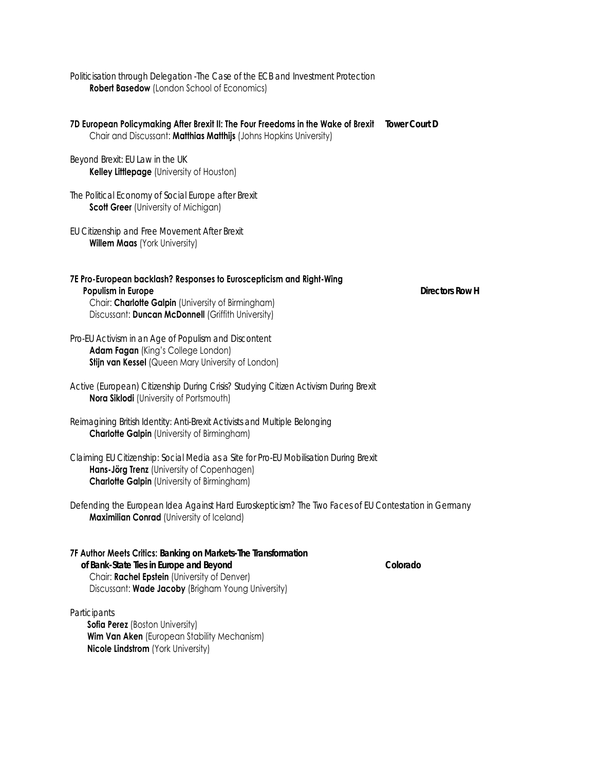*Politicisation through Delegation -The Case of the ECB and Investment Protection* **Robert Basedow** (London School of Economics)

**7D European Policymaking After Brexit II: The Four Freedoms in the Wake of Brexit** *Tower Court D* Chair and Discussant: **Matthias Matthijs** (Johns Hopkins University)

*Beyond Brexit: EU Law in the UK* **Kelley Littlepage** (University of Houston)

*The Political Economy of Social Europe after Brexit* **Scott Greer** (University of Michigan)

*EU Citizenship and Free Movement After Brexit* **Willem Maas** (York University)

### **7E Pro-European backlash? Responses to Euroscepticism and Right-Wing Populism in Europe** *Directors Row H* Chair: **Charlotte Galpin** (University of Birmingham)

Discussant: **Duncan McDonnell** (Griffith University)

*Pro-EU Activism in an Age of Populism and Discontent* **Adam Fagan** (King's College London) **Stijn van Kessel** (Queen Mary University of London)

*Active (European) Citizenship During Crisis? Studying Citizen Activism During Brexit* **Nora Siklodi** (University of Portsmouth)

*Reimagining British Identity: Anti-Brexit Activists and Multiple Belonging* **Charlotte Galpin** (University of Birmingham)

*Claiming EU Citizenship: Social Media as a Site for Pro-EU Mobilisation During Brexit* **Hans-Jörg Trenz** (University of Copenhagen) **Charlotte Galpin** (University of Birmingham)

*Defending the European Idea Against Hard Euroskepticism? The Two Faces of EU Contestation in Germany* **Maximilian Conrad** (University of Iceland)

### **7F Author Meets Critics:** *Banking on Markets-The Transformation*

 *of Bank-State Ties in Europe and Beyond Colorado* Chair: **Rachel Epstein** (University of Denver) Discussant: **Wade Jacoby** (Brigham Young University)

#### *Participants*

**Sofia Perez** (Boston University) **Wim Van Aken** (European Stability Mechanism) **Nicole Lindstrom** (York University)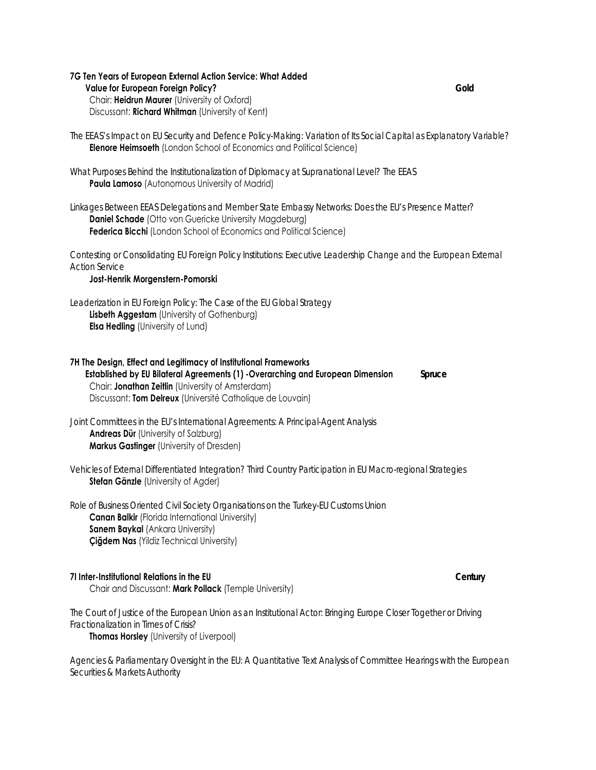#### **7G Ten Years of European External Action Service: What Added Value for European Foreign Policy?** *Gold* Chair: **Heidrun Maurer** (University of Oxford) Discussant: **Richard Whitman** (University of Kent)

*The EEAS's Impact on EU Security and Defence Policy-Making: Variation of Its Social Capital as Explanatory Variable?*  **Elenore Heimsoeth** (London School of Economics and Political Science)

*What Purposes Behind the Institutionalization of Diplomacy at Supranational Level? The EEAS* **Paula Lamoso** (Autonomous University of Madrid)

*Linkages Between EEAS Delegations and Member State Embassy Networks: Does the EU's Presence Matter?* **Daniel Schade** (Otto von Guericke University Magdeburg) **Federica Bicchi** (London School of Economics and Political Science)

*Contesting or Consolidating EU Foreign Policy Institutions: Executive Leadership Change and the European External Action Service*

**Jost-Henrik Morgenstern-Pomorski**

*Leaderization in EU Foreign Policy: The Case of the EU Global Strategy* **Lisbeth Aggestam** (University of Gothenburg) **Elsa Hedling** (University of Lund)

**7H The Design, Effect and Legitimacy of Institutional Frameworks Established by EU Bilateral Agreements (1) -Overarching and European Dimension** *Spruce* Chair: **Jonathan Zeitlin** (University of Amsterdam) Discussant: **Tom Delreux** (Université Catholique de Louvain)

*Joint Committees in the EU's International Agreements: A Principal-Agent Analysis* **Andreas Dür** (University of Salzburg) **Markus Gastinger** (University of Dresden)

*Vehicles of External Differentiated Integration? Third Country Participation in EU Macro-regional Strategies* **Stefan Gänzle** (University of Agder)

*Role of Business Oriented Civil Society Organisations on the Turkey-EU Customs Union* **Canan Balkir** (Florida International University) **Sanem Baykal** (Ankara University) **Çiğdem Nas** (Yildiz Technical University)

#### **7I Inter-Institutional Relations in the EU** *Century*

Chair and Discussant: **Mark Pollack** (Temple University)

*The Court of Justice of the European Union as an Institutional Actor: Bringing Europe Closer Together or Driving Fractionalization in Times of Crisis?* **Thomas Horsley** (University of Liverpool)

*Agencies & Parliamentary Oversight in the EU: A Quantitative Text Analysis of Committee Hearings with the European Securities & Markets Authority*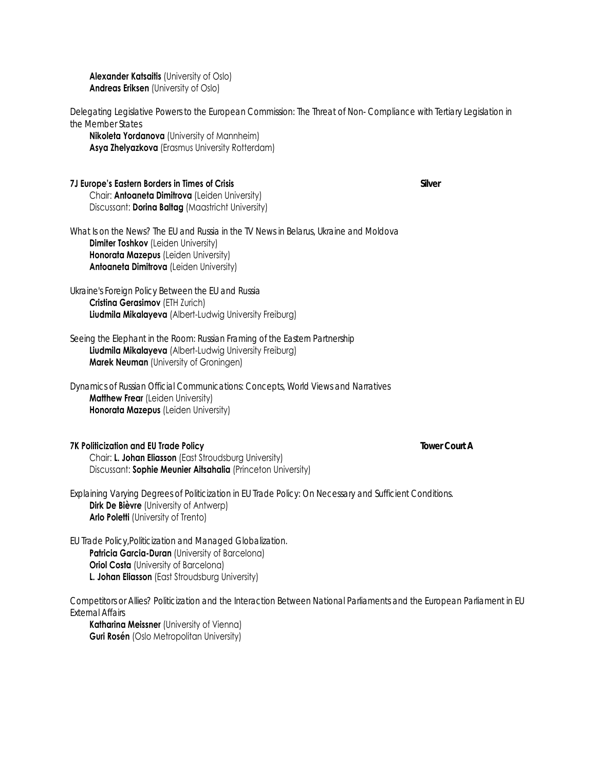**Alexander Katsaitis** (University of Oslo) **Andreas Eriksen** (University of Oslo)

*Delegating Legislative Powers to the European Commission: The Threat of Non- Compliance with Tertiary Legislation in the Member States*

 **Nikoleta Yordanova** (University of Mannheim) **Asya Zhelyazkova** (Erasmus University Rotterdam)

#### **7J Europe's Eastern Borders in Times of Crisis** *Silver* Chair: **Antoaneta Dimitrova** (Leiden University)

Discussant: **Dorina Baltag** (Maastricht University)

*What Is on the News? The EU and Russia in the TV News in Belarus, Ukraine and Moldova* **Dimiter Toshkov** (Leiden University) **Honorata Mazepus** (Leiden University) **Antoaneta Dimitrova** (Leiden University)

*Ukraine's Foreign Policy Between the EU and Russia* **Cristina Gerasimov** (ETH Zurich) **Liudmila Mikalayeva** (Albert-Ludwig University Freiburg)

*Seeing the Elephant in the Room: Russian Framing of the Eastern Partnership* **Liudmila Mikalayeva** (Albert-Ludwig University Freiburg) **Marek Neuman** (University of Groningen)

*Dynamics of Russian Official Communications: Concepts, World Views and Narratives* **Matthew Frear** (Leiden University) **Honorata Mazepus** (Leiden University)

### **7K Politicization and EU Trade Policy** *Tower Court A*

 Chair: **L. Johan Eliasson** (East Stroudsburg University) Discussant: **Sophie Meunier Aitsahalia** (Princeton University)

*Explaining Varying Degrees of Politicization in EU Trade Policy: On Necessary and Sufficient Conditions.* **Dirk De Bièvre** (University of Antwerp) **Arlo Poletti** (University of Trento)

*EU Trade Policy,Politicization and Managed Globalization.*

**Patricia Garcia-Duran** (University of Barcelona) **Oriol Costa** (University of Barcelona) **L. Johan Eliasson** (East Stroudsburg University)

*Competitors or Allies? Politicization and the Interaction Between National Parliaments and the European Parliament in EU External Affairs*

 **Katharina Meissner** (University of Vienna) **Guri Rosén** (Oslo Metropolitan University)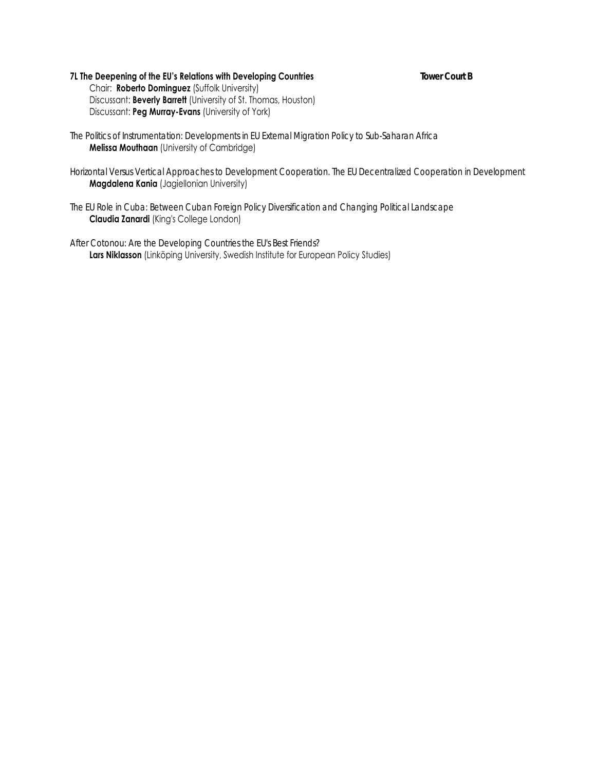# **7L The Deepening of the EU's Relations with Developing Countries** *Tower Court B*

 Chair: **Roberto Dominguez** (Suffolk University) Discussant: **Beverly Barrett** (University of St. Thomas, Houston) Discussant: **Peg Murray-Evans** (University of York)

- *The Politics of Instrumentation: Developments in EU External Migration Policy to Sub-Saharan Africa* **Melissa Mouthaan** (University of Cambridge)
- *Horizontal Versus Vertical Approaches to Development Cooperation. The EU Decentralized Cooperation in Development* **Magdalena Kania** (Jagiellonian University)
- *The EU Role in Cuba: Between Cuban Foreign Policy Diversification and Changing Political Landscape* **Claudia Zanardi** (King's College London)
- *After Cotonou: Are the Developing Countries the EU's Best Friends?* Lars Niklasson (Linköping University, Swedish Institute for European Policy Studies)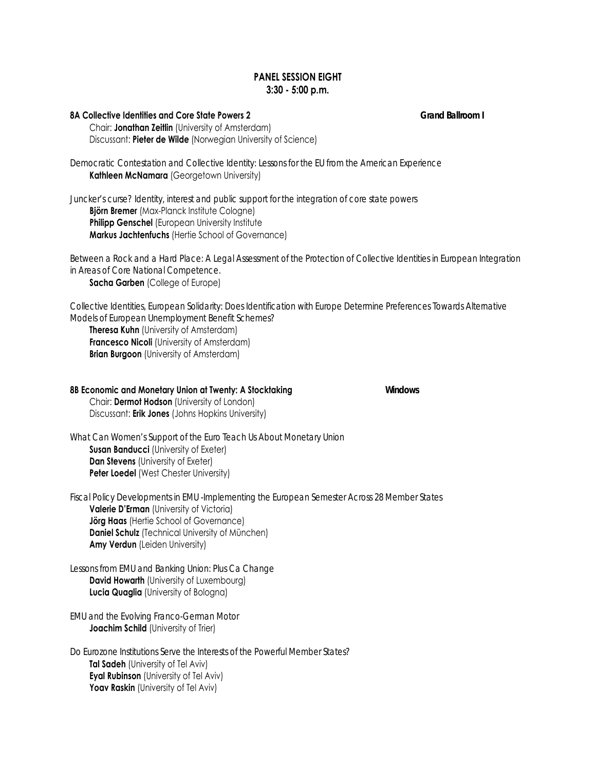# **PANEL SESSION EIGHT 3:30 - 5:00 p.m.**

**8A Collective Identities and Core State Powers 2** *Grand Ballroom I*

 Chair: **Jonathan Zeitlin** (University of Amsterdam) Discussant: **Pieter de Wilde** (Norwegian University of Science)

*Democratic Contestation and Collective Identity: Lessons for the EU from the American Experience*  **Kathleen McNamara** (Georgetown University)

*Juncker's curse? Identity, interest and public support for the integration of core state powers*   **Björn Bremer** (Max-Planck Institute Cologne) **Philipp Genschel** (European University Institute  **Markus Jachtenfuchs** (Hertie School of Governance)

*Between a Rock and a Hard Place: A Legal Assessment of the Protection of Collective Identities in European Integration in Areas of Core National Competence.* **Sacha Garben** (College of Europe)

*Collective Identities, European Solidarity: Does Identification with Europe Determine Preferences Towards Alternative Models of European Unemployment Benefit Schemes?*

 **Theresa Kuhn** (University of Amsterdam) **Francesco Nicoli** (University of Amsterdam) **Brian Burgoon** (University of Amsterdam)

#### **8B Economic and Monetary Union at Twenty: A Stocktaking** *Windows* Chair: **Dermot Hodson** (University of London)

Discussant: **Erik Jones** (Johns Hopkins University)

*What Can Women's Support of the Euro Teach Us About Monetary Union* **Susan Banducci** (University of Exeter) **Dan Stevens** (University of Exeter) **Peter Loedel** (West Chester University)

*Fiscal Policy Developments in EMU -Implementing the European Semester Across 28 Member States* **Valerie D'Erman** (University of Victoria) **Jörg Haas** (Hertie School of Governance) **Daniel Schulz** (Technical University of München) **Amy Verdun** (Leiden University)

*Lessons from EMU and Banking Union: Plus Ca Change* **David Howarth** (University of Luxembourg) **Lucia Quaglia** (University of Bologna)

*EMU and the Evolving Franco-German Motor* **Joachim Schild** (University of Trier)

*Do Eurozone Institutions Serve the Interests of the Powerful Member States?* **Tal Sadeh** (University of Tel Aviv) **Eyal Rubinson** (University of Tel Aviv) **Yoav Raskin** (University of Tel Aviv)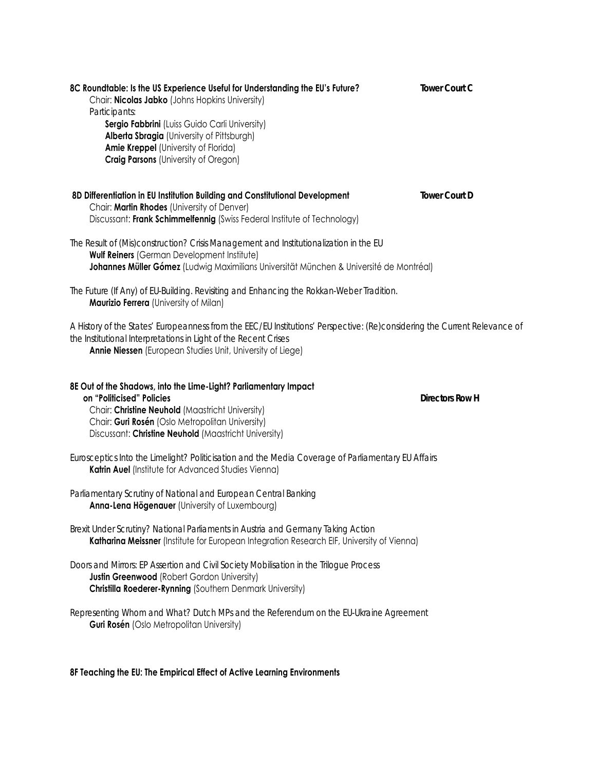| 8C Roundtable: Is the US Experience Useful for Understanding the EU's Future?<br>Chair: Nicolas Jabko (Johns Hopkins University)<br>Participants:<br>Sergio Fabbrini (Luiss Guido Carli University)<br>Alberta Sbragia (University of Pittsburgh)<br>Amie Kreppel (University of Florida)<br><b>Craig Parsons (University of Oregon)</b> | <b>Tower Court C</b>   |
|------------------------------------------------------------------------------------------------------------------------------------------------------------------------------------------------------------------------------------------------------------------------------------------------------------------------------------------|------------------------|
| 8D Differentiation in EU Institution Building and Constitutional Development<br>Chair: Martin Rhodes (University of Denver)<br>Discussant: Frank Schimmelfennig (Swiss Federal Institute of Technology)                                                                                                                                  | <b>Tower Court D</b>   |
| The Result of (Mis)construction? Crisis Management and Institutionalization in the EU<br>Wulf Reiners (German Development Institute)<br>Johannes Müller Gómez (Ludwig Maximilians Universität München & Université de Montréal)                                                                                                          |                        |
| The Future (If Any) of EU-Building. Revisiting and Enhancing the Rokkan-Weber Tradition.<br>Maurizio Ferrera (University of Milan)                                                                                                                                                                                                       |                        |
| A History of the States' Europeanness from the EEC/EU Institutions' Perspective: (Re)considering the Current Relevance of<br>the Institutional Interpretations in Light of the Recent Crises<br>Annie Niessen (European Studies Unit, University of Liege)                                                                               |                        |
| 8E Out of the Shadows, into the Lime-Light? Parliamentary Impact<br>on "Politicised" Policies<br>Chair: Christine Neuhold (Maastricht University)<br>Chair: Guri Rosén (Oslo Metropolitan University)<br>Discussant: Christine Neuhold (Maastricht University)                                                                           | <b>Directors Row H</b> |
| Eurosceptics Into the Limelight? Politicisation and the Media Coverage of Parliamentary EU Affairs<br>Katrin Auel (Institute for Advanced Studies Vienna)                                                                                                                                                                                |                        |
| Parliamentary Scrutiny of National and European Central Banking<br>Anna-Lena Högenauer (University of Luxembourg)                                                                                                                                                                                                                        |                        |
| Brexit Under Scrutiny? National Parliaments in Austria and Germany Taking Action<br>Katharina Meissner (Institute for European Integration Research EIF, University of Vienna)                                                                                                                                                           |                        |
| Doors and Mirrors: EP Assertion and Civil Society Mobilisation in the Trilogue Process<br><b>Justin Greenwood (Robert Gordon University)</b><br>Christilla Roederer-Rynning (Southern Denmark University)                                                                                                                                |                        |
| Representing Whom and What? Dutch MPs and the Referendum on the EU-Ukraine Agreement<br><b>Guri Rosén</b> (Oslo Metropolitan University)                                                                                                                                                                                                 |                        |

**8F Teaching the EU: The Empirical Effect of Active Learning Environments**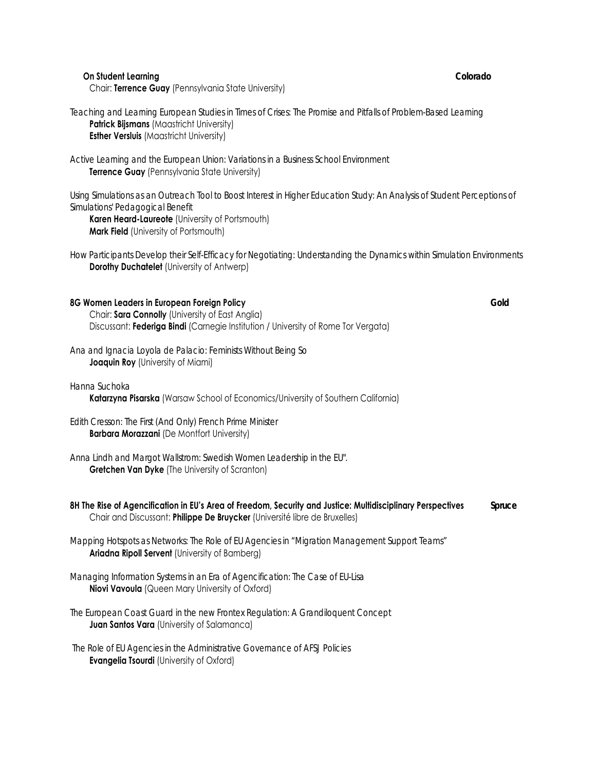| Teaching and Learning European Studies in Times of Crises: The Promise and Pitfalls of Problem-Based Learning<br>Patrick Bijsmans (Maastricht University)<br><b>Esther Versluis (Maastricht University)</b>                                              |        |
|----------------------------------------------------------------------------------------------------------------------------------------------------------------------------------------------------------------------------------------------------------|--------|
| Active Learning and the European Union: Variations in a Business School Environment<br>Terrence Guay (Pennsylvania State University)                                                                                                                     |        |
| Using Simulations as an Outreach Tool to Boost Interest in Higher Education Study: An Analysis of Student Perceptions of<br>Simulations' Pedagogical Benefit<br>Karen Heard-Laureote (University of Portsmouth)<br>Mark Field (University of Portsmouth) |        |
| How Participants Develop their Self-Efficacy for Negotiating: Understanding the Dynamics within Simulation Environments<br>Dorothy Duchatelet (University of Antwerp)                                                                                    |        |
| 8G Women Leaders in European Foreign Policy<br>Chair: Sara Connolly (University of East Anglia)<br>Discussant: Federiga Bindi (Carnegie Institution / University of Rome Tor Vergata)                                                                    | Gold   |
| Ana and Ignacia Loyola de Palacio: Feminists Without Being So<br>Joaquin Roy (University of Miami)                                                                                                                                                       |        |
| Hanna Suchoka<br>Katarzyna Pisarska (Warsaw School of Economics/University of Southern California)                                                                                                                                                       |        |
| Edith Cresson: The First (And Only) French Prime Minister<br><b>Barbara Morazzani</b> (De Montfort University)                                                                                                                                           |        |
| Anna Lindh and Margot Wallstrom: Swedish Women Leadership in the EU".<br><b>Gretchen Van Dyke (The University of Scranton)</b>                                                                                                                           |        |
| 8H The Rise of Agencification in EU's Area of Freedom, Security and Justice: Multidisciplinary Perspectives<br>Chair and Discussant: Philippe De Bruycker (Université libre de Bruxelles)                                                                | Spruce |
| Mapping Hotspots as Networks: The Role of EU Agencies in "Migration Management Support Teams"<br>Ariadna Ripoll Servent (University of Bamberg)                                                                                                          |        |
| Managing Information Systems in an Era of Agencification: The Case of EU-Lisa<br>Niovi Vavoula (Queen Mary University of Oxford)                                                                                                                         |        |
| The European Coast Guard in the new Frontex Regulation: A Grandiloquent Concept<br>Juan Santos Vara (University of Salamanca)                                                                                                                            |        |
| The Role of EU Agencies in the Administrative Governance of AFSJ Policies<br><b>Evangelia Tsourdi</b> (University of Oxford)                                                                                                                             |        |

 **On Student Learning** *Colorado*

Chair: **Terrence Guay** (Pennsylvania State University)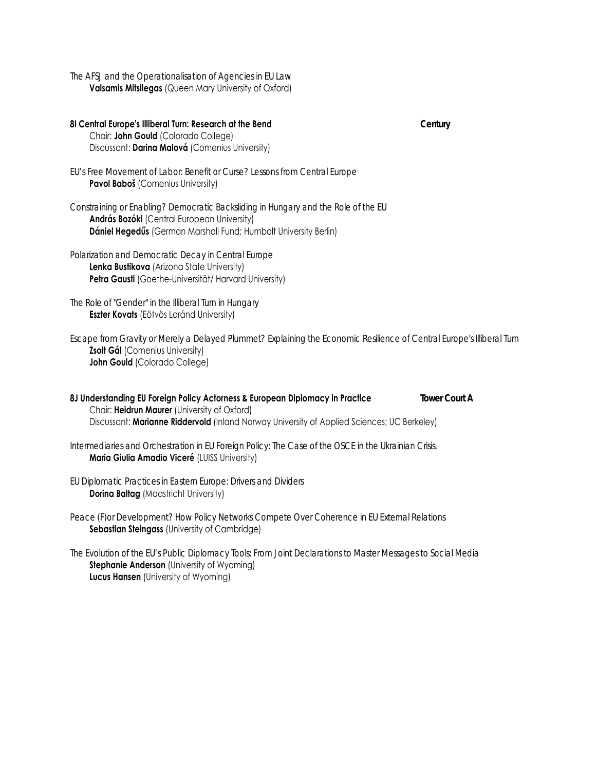*The AFSJ and the Operationalisation of Agencies in EU Law* **Valsamis Mitsilegas** (Queen Mary University of Oxford)

**8I Central Europe's Illiberal Turn: Research at the Bend** *Century* Chair: **John Gould** (Colorado College) Discussant: **Darina Malová** (Comenius University) *EU's Free Movement of Labor: Benefit or Curse? Lessons from Central Europe* **Pavol Baboš** (Comenius University) *Constraining or Enabling? Democratic Backsliding in Hungary and the Role of the EU* **András Bozóki** (Central European University) **Dániel Hegedűs** (German Marshall Fund; Humbolt University Berlin) *Polarization and Democratic Decay in Central Europe* **Lenka Bustikova** (Arizona State University) **Petra Gausti** (Goethe-Universität/ Harvard University) *The Role of "Gender" in the Illiberal Turn in Hungary* **Eszter Kovats** (Eötvös Loránd University) *Escape from Gravity or Merely a Delayed Plummet? Explaining the Economic Resilience of Central Europe's Illiberal Turn*  **Zsolt Gál** (Comenius University) **John Gould** (Colorado College) **8J Understanding EU Foreign Policy Actorness & European Diplomacy in Practice** *Tower Court A* Chair: **Heidrun Maurer** (University of Oxford) Discussant: **Marianne Riddervold** (Inland Norway University of Applied Sciences; UC Berkeley) *Intermediaries and Orchestration in EU Foreign Policy: The Case of the OSCE in the Ukrainian Crisis.* **Maria Giulia Amadio Viceré** (LUISS University) *EU Diplomatic Practices in Eastern Europe: Drivers and Dividers* **Dorina Baltag** (Maastricht University) *Peace (F)or Development? How Policy Networks Compete Over Coherence in EU External Relations*  **Sebastian Steingass** (University of Cambridge) *The Evolution of the EU's Public Diplomacy Tools: From Joint Declarations to Master Messages to Social Media*

**Stephanie Anderson** (University of Wyoming) **Lucus Hansen** (University of Wyoming)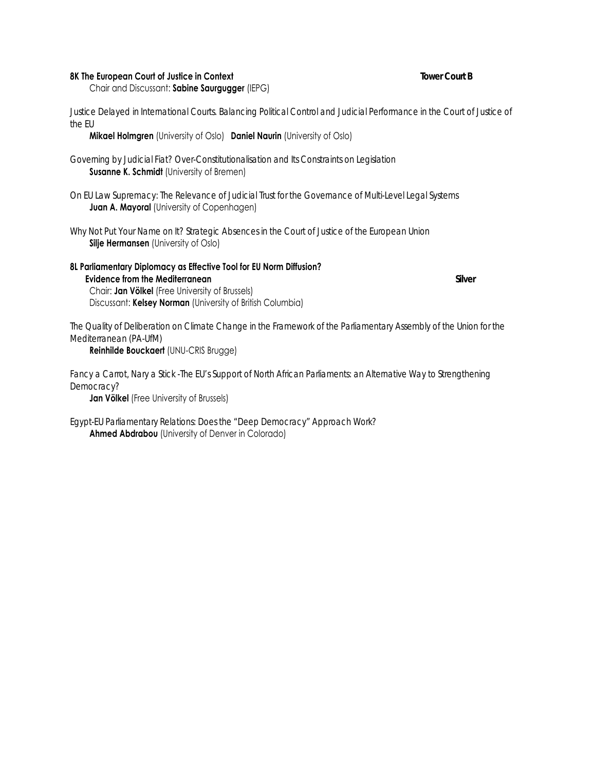#### **8K The European Court of Justice in Context** *Tower Court B*

Chair and Discussant: **Sabine Saurgugger** (IEPG)

Justice Delayed in International Courts. Balancing Political Control and Judicial Performance in the Court of Justice of *the EU* 

**Mikael Holmgren** (University of Oslo) **Daniel Naurin** (University of Oslo)

*Governing by Judicial Fiat? Over-Constitutionalisation and Its Constraints on Legislation* **Susanne K. Schmidt** (University of Bremen)

*On EU Law Supremacy: The Relevance of Judicial Trust for the Governance of Multi-Level Legal Systems* **Juan A. Mayoral** (University of Copenhagen)

*Why Not Put Your Name on It? Strategic Absences in the Court of Justice of the European Union* **Silje Hermansen** (University of Oslo)

**8L Parliamentary Diplomacy as Effective Tool for EU Norm Diffusion? Evidence from the Mediterranean** *Silver* Chair: **Jan Völkel** (Free University of Brussels) Discussant: **Kelsey Norman** (University of British Columbia)

*The Quality of Deliberation on Climate Change in the Framework of the Parliamentary Assembly of the Union for the Mediterranean (PA-UfM)*

**Reinhilde Bouckaert** (UNU-CRIS Brugge)

Fancy a Carrot, Nary a Stick -The EU's Support of North African Parliaments: an Alternative Way to Strengthening *Democracy?*

**Jan Völkel** (Free University of Brussels)

*Egypt-EU Parliamentary Relations: Does the "Deep Democracy" Approach Work?* **Ahmed Abdrabou** (University of Denver in Colorado)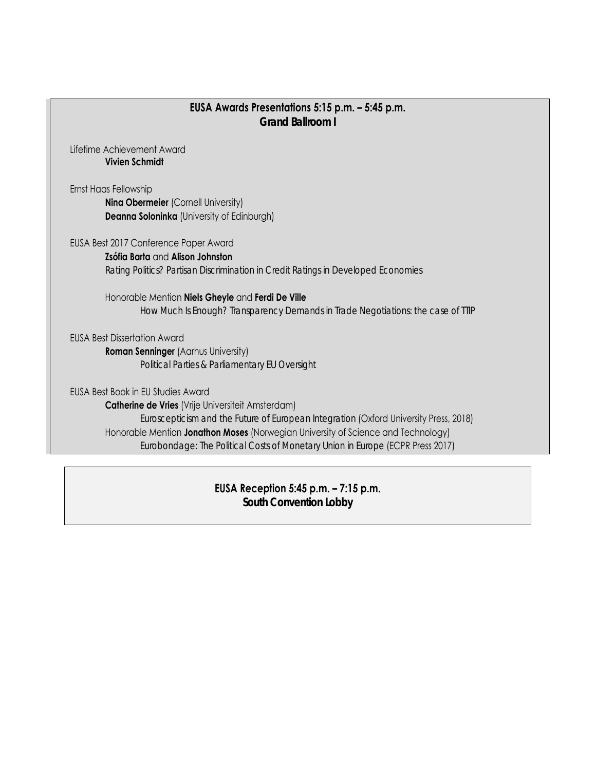# **EUSA Awards Presentations 5:15 p.m. – 5:45 p.m.**  *Grand Ballroom I*

Lifetime Achievement Award **Vivien Schmidt** 

Ernst Haas Fellowship

**Nina Obermeier** (Cornell University) **Deanna Soloninka** (University of Edinburgh)

EUSA Best 2017 Conference Paper Award

**Zsófia Barta** and **Alison Johnston** *Rating Politics? Partisan Discrimination in Credit Ratings in Developed Economies* 

 Honorable Mention **Niels Gheyle** and **Ferdi De Ville** *How Much Is Enough? Transparency Demands in Trade Negotiations: the case of TTIP* 

EUSA Best Dissertation Award

**Roman Senninger** (Aarhus University) *Political Parties & Parliamentary EU Oversight* 

EUSA Best Book in EU Studies Award **Catherine de Vries** (Vrije Universiteit Amsterdam) *Euroscepticism and the Future of European Integration* (Oxford University Press, 2018) Honorable Mention **Jonathon Moses** (Norwegian University of Science and Technology) *Eurobondage: The Political Costs of Monetary Union in Europe* (ECPR Press 2017)

> **EUSA Reception 5:45 p.m. – 7:15 p.m.**  *South Convention Lobby*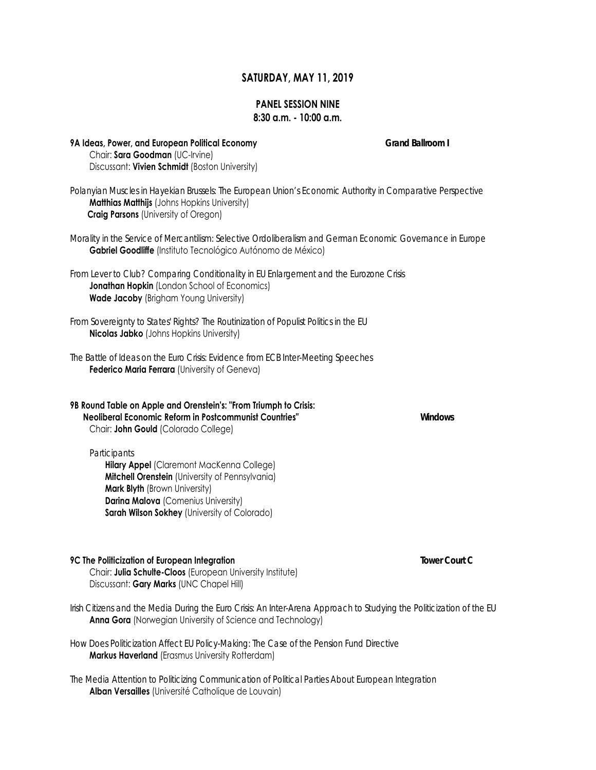# **SATURDAY, MAY 11, 2019**

## **PANEL SESSION NINE 8:30 a.m. - 10:00 a.m.**

| 9A Ideas, Power, and European Political Economy<br>Chair: Sara Goodman (UC-Irvine)<br>Discussant: Vivien Schmidt (Boston University)                                                                                                 | Grand Ballroom I |
|--------------------------------------------------------------------------------------------------------------------------------------------------------------------------------------------------------------------------------------|------------------|
| Polanyian Muscles in Hayekian Brussels: The European Union's Economic Authority in Comparative Perspective<br>Matthias Matthijs (Johns Hopkins University)<br><b>Craig Parsons (University of Oregon)</b>                            |                  |
| Morality in the Service of Mercantilism: Selective Ordoliberalism and German Economic Governance in Europe<br>Gabriel Goodliffe (Instituto Tecnológico Autónomo de México)                                                           |                  |
| From Lever to Club? Comparing Conditionality in EU Enlargement and the Eurozone Crisis<br>Jonathan Hopkin (London School of Economics)<br><b>Wade Jacoby</b> (Brigham Young University)                                              |                  |
| From Sovereignty to States' Rights? The Routinization of Populist Politics in the EU<br><b>Nicolas Jabko</b> (Johns Hopkins University)                                                                                              |                  |
| The Battle of Ideas on the Euro Crisis: Evidence from ECB Inter-Meeting Speeches<br>Federico Maria Ferrara (University of Geneva)                                                                                                    |                  |
| 9B Round Table on Apple and Orenstein's: "From Triumph to Crisis:<br>Neoliberal Economic Reform in Postcommunist Countries"<br>Chair: John Gould (Colorado College)                                                                  | Windows          |
| Participants<br>Hilary Appel (Claremont MacKenna College)<br>Mitchell Orenstein (University of Pennsylvania)<br>Mark Blyth (Brown University)<br>Darina Malova (Comenius University)<br>Sarah Wilson Sokhey (University of Colorado) |                  |
| 9C The Politicization of European Integration<br>Chair: Julia Schulte-Cloos (European University Institute)<br>Discussant: Gary Marks (UNC Chapel Hill)                                                                              | Tower Court C    |
| Irish Citizens and the Media During the Euro Crisis: An Inter-Arena Approach to Studying the Politicization of the EU<br>Anna Gora (Norwegian University of Science and Technology)                                                  |                  |

*How Does Politicization Affect EU Policy-Making: The Case of the Pension Fund Directive*  **Markus Haverland** (Erasmus University Rotterdam)

*The Media Attention to Politicizing Communication of Political Parties About European Integration* **Alban Versailles** (Université Catholique de Louvain)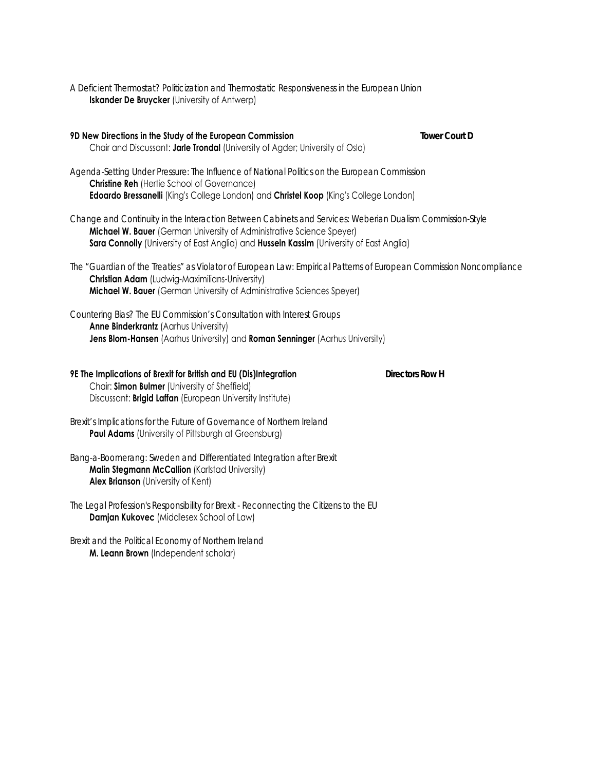*A Deficient Thermostat? Politicization and Thermostatic Responsiveness in the European Union* **Iskander De Bruycker** (University of Antwerp)

**9D New Directions in the Study of the European Commission** *Tower Court D* Chair and Discussant: **Jarle Trondal** (University of Agder; University of Oslo)

*Agenda-Setting Under Pressure: The Influence of National Politics on the European Commission* **Christine Reh** (Hertie School of Governance) **Edoardo Bressanelli** (King's College London) and **Christel Koop** (King's College London)

*Change and Continuity in the Interaction Between Cabinets and Services: Weberian Dualism Commission-Style* **Michael W. Bauer** (German University of Administrative Science Speyer) **Sara Connolly** (University of East Anglia) and **Hussein Kassim** (University of East Anglia)

*The "Guardian of the Treaties" as Violator of European Law: Empirical Patterns of European Commission Noncompliance* **Christian Adam** (Ludwig-Maximilians-University) **Michael W. Bauer** (German University of Administrative Sciences Speyer)

*Countering Bias? The EU Commission's Consultation with Interest Groups* **Anne Binderkrantz** (Aarhus University) **Jens Blom-Hansen** (Aarhus University) and **Roman Senninger** (Aarhus University)

### **9E The Implications of Brexit for British and EU (Dis)Integration** *Directors Row H*

 Chair: **Simon Bulmer** (University of Sheffield) Discussant: **Brigid Laffan** (European University Institute)

*Brexit's Implications for the Future of Governance of Northern Ireland* **Paul Adams** (University of Pittsburgh at Greensburg)

*Bang-a-Boomerang: Sweden and Differentiated Integration after Brexit* **Malin Stegmann McCallion** (Karlstad University) **Alex Brianson** (University of Kent)

*The Legal Profession's Responsibility for Brexit - Reconnecting the Citizens to the EU* **Damjan Kukovec** (Middlesex School of Law)

*Brexit and the Political Economy of Northern Ireland* **M. Leann Brown** (Independent scholar)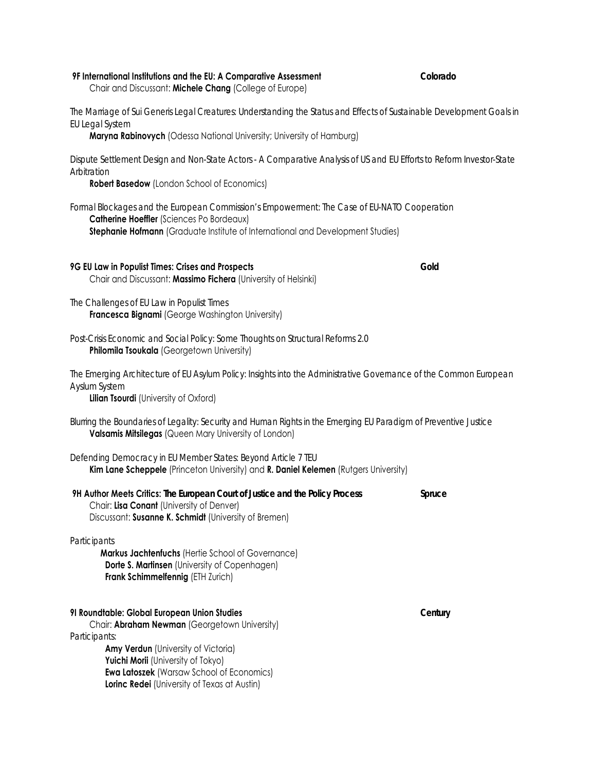| The Marriage of Sui Generis Legal Creatures: Understanding the Status and Effects of Sustainable Development Goals in<br>EU Legal System                                                                                                        |         |
|-------------------------------------------------------------------------------------------------------------------------------------------------------------------------------------------------------------------------------------------------|---------|
| Maryna Rabinovych (Odessa National University; University of Hamburg)                                                                                                                                                                           |         |
| Dispute Settlement Design and Non-State Actors - A Comparative Analysis of US and EU Efforts to Reform Investor-State<br>Arbitration                                                                                                            |         |
| <b>Robert Basedow</b> (London School of Economics)                                                                                                                                                                                              |         |
| Formal Blockages and the European Commission's Empowerment: The Case of EU-NATO Cooperation<br>Catherine Hoeffler (Sciences Po Bordeaux)<br>Stephanie Hofmann (Graduate Institute of International and Development Studies)                     |         |
| 9G EU Law in Populist Times: Crises and Prospects<br>Chair and Discussant: Massimo Fichera (University of Helsinki)                                                                                                                             | Gold    |
| The Challenges of EU Law in Populist Times<br>Francesca Bignami (George Washington University)                                                                                                                                                  |         |
| Post-Crisis Economic and Social Policy: Some Thoughts on Structural Reforms 2.0<br>Philomila Tsoukala (Georgetown University)                                                                                                                   |         |
| The Emerging Architecture of EU Asylum Policy: Insights into the Administrative Governance of the Common European<br>Ayslum System<br><b>Lilian Tsourdi</b> (University of Oxford)                                                              |         |
| Blurring the Boundaries of Legality: Security and Human Rights in the Emerging EU Paradigm of Preventive Justice<br>Valsamis Mitsilegas (Queen Mary University of London)                                                                       |         |
| Defending Democracy in EU Member States: Beyond Article 7 TEU<br>Kim Lane Scheppele (Princeton University) and R. Daniel Kelemen (Rutgers University)                                                                                           |         |
| 9H Author Meets Critics: The European Court of Justice and the Policy Process<br>Chair: Lisa Conant (University of Denver)<br>Discussant: Susanne K. Schmidt (University of Bremen)                                                             | Spruce  |
| Participants<br>Markus Jachtenfuchs (Hertie School of Governance)<br>Dorte S. Martinsen (University of Copenhagen)<br>Frank Schimmelfennig (ETH Zurich)                                                                                         |         |
| 91 Roundtable: Global European Union Studies<br>Chair: Abraham Newman (Georgetown University)<br>Participants:<br>Amy Verdun (University of Victoria)<br>Yuichi Morii (University of Tokyo)<br><b>Ewa Latoszek (Warsaw School of Economics)</b> | Century |
| Lorinc Redei (University of Texas at Austin)                                                                                                                                                                                                    |         |

**9F International Institutions and the EU: A Comparative Assessment** *Colorado*

Chair and Discussant: **Michele Chang** (College of Europe)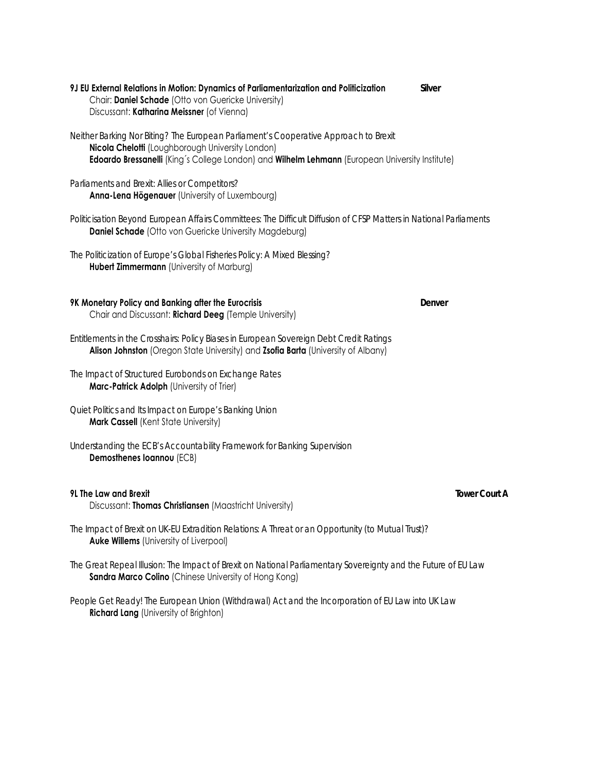- **9J EU External Relations in Motion: Dynamics of Parliamentarization and Politicization** *Silver*  Chair: **Daniel Schade** (Otto von Guericke University) Discussant: **Katharina Meissner** (of Vienna)
- *Neither Barking Nor Biting? The European Parliament's Cooperative Approach to Brexit* **Nicola Chelotti** (Loughborough University London) **Edoardo Bressanelli** (King´s College London) and **Wilhelm Lehmann** (European University Institute)
- *Parliaments and Brexit: Allies or Competitors?* **Anna-Lena Högenauer** (University of Luxembourg)
- *Politicisation Beyond European Affairs Committees: The Difficult Diffusion of CFSP Matters in National Parliaments* **Daniel Schade** (Otto von Guericke University Magdeburg)
- *The Politicization of Europe's Global Fisheries Policy: A Mixed Blessing?* **Hubert Zimmermann** (University of Marburg)
- **9K Monetary Policy and Banking after the Eurocrisis** *Denver* Chair and Discussant: **Richard Deeg** (Temple University)
- *Entitlements in the Crosshairs: Policy Biases in European Sovereign Debt Credit Ratings*  **Alison Johnston** (Oregon State University) and **Zsofia Barta** (University of Albany)
- *The Impact of Structured Eurobonds on Exchange Rates* **Marc-Patrick Adolph** (University of Trier)
- *Quiet Politics and Its Impact on Europe's Banking Union* **Mark Cassell** (Kent State University)
- *Understanding the ECB's Accountability Framework for Banking Supervision*  **Demosthenes Ioannou** (ECB)

#### **9L The Law and Brexit** *Tower Court A*

Discussant: **Thomas Christiansen** (Maastricht University)

- *The Impact of Brexit on UK-EU Extradition Relations: A Threat or an Opportunity (to Mutual Trust)?* **Auke Willems** (University of Liverpool)
- *The Great Repeal Illusion: The Impact of Brexit on National Parliamentary Sovereignty and the Future of EU Law* **Sandra Marco Colino** (Chinese University of Hong Kong)

*People Get Ready! The European Union (Withdrawal) Act and the Incorporation of EU Law into UK Law*  **Richard Lang** (University of Brighton)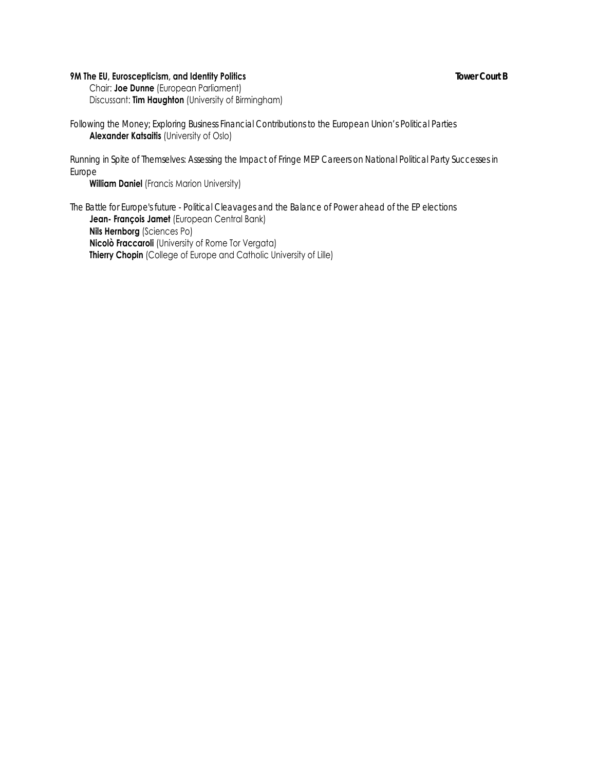# **9M The EU, Euroscepticism, and Identity Politics** *Tower Court B*

 Chair: **Joe Dunne** (European Parliament) Discussant: **Tim Haughton** (University of Birmingham)

*Following the Money; Exploring Business Financial Contributions to the European Union's Political Parties* **Alexander Katsaitis** (University of Oslo)

*Running in Spite of Themselves: Assessing the Impact of Fringe MEP Careers on National Political Party Successes in Europe*

**William Daniel** (Francis Marion University)

*The Battle for Europe's future - Political Cleavages and the Balance of Power ahead of the EP elections* **Jean- François Jamet** (European Central Bank) **Nils Hernborg** (Sciences Po)  **Nicolò Fraccaroli** (University of Rome Tor Vergata) **Thierry Chopin** (College of Europe and Catholic University of Lille)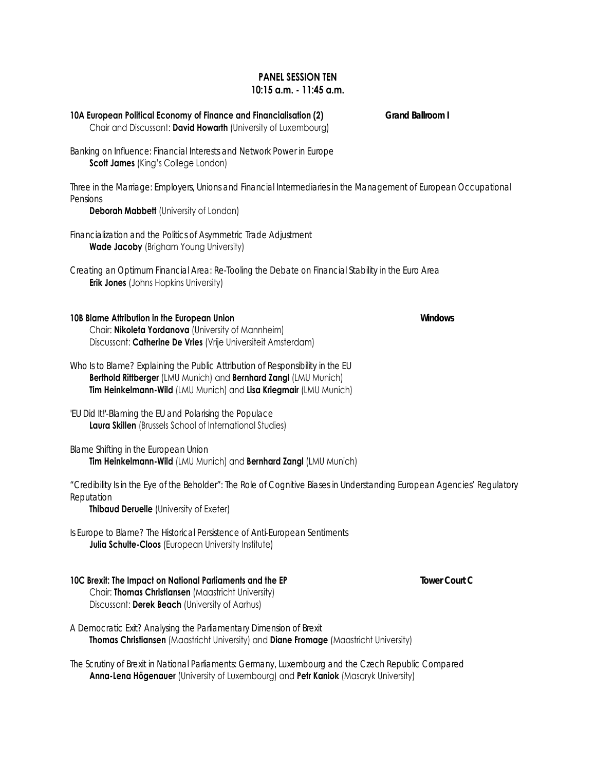# **PANEL SESSION TEN 10:15 a.m. - 11:45 a.m.**

**10A European Political Economy of Finance and Financialisation (2)** *Grand Ballroom I* Chair and Discussant: **David Howarth** (University of Luxembourg) *Banking on Influence: Financial Interests and Network Power in Europe* **Scott James** (King's College London) *Three in the Marriage: Employers, Unions and Financial Intermediaries in the Management of European Occupational Pensions* **Deborah Mabbett** (University of London) *Financialization and the Politics of Asymmetric Trade Adjustment* **Wade Jacoby** (Brigham Young University) *Creating an Optimum Financial Area: Re-Tooling the Debate on Financial Stability in the Euro Area* **Erik Jones** (Johns Hopkins University) **10B Blame Attribution in the European Union** *Windows* Chair: **Nikoleta Yordanova** (University of Mannheim) Discussant: **Catherine De Vries** (Vrije Universiteit Amsterdam) *Who Is to Blame? Explaining the Public Attribution of Responsibility in the EU*  **Berthold Rittberger** (LMU Munich) and **Bernhard Zangl** (LMU Munich) **Tim Heinkelmann-Wild** (LMU Munich) and **Lisa Kriegmair** (LMU Munich)

*'EU Did It!'-Blaming the EU and Polarising the Populace* **Laura Skillen** (Brussels School of International Studies)

*Blame Shifting in the European Union* **Tim Heinkelmann-Wild** (LMU Munich) and **Bernhard Zangl** (LMU Munich)

*"Credibility Is in the Eye of the Beholder": The Role of Cognitive Biases in Understanding European Agencies' Regulatory Reputation*

**Thibaud Deruelle** (University of Exeter)

*Is Europe to Blame? The Historical Persistence of Anti-European Sentiments* **Julia Schulte-Cloos** (European University Institute)

**10C Brexit: The Impact on National Parliaments and the EP** *Tower Court C* Chair: **Thomas Christiansen** (Maastricht University) Discussant: **Derek Beach** (University of Aarhus)

*A Democratic Exit? Analysing the Parliamentary Dimension of Brexit* **Thomas Christiansen** (Maastricht University) and **Diane Fromage** (Maastricht University)

*The Scrutiny of Brexit in National Parliaments: Germany, Luxembourg and the Czech Republic Compared* **Anna-Lena Högenauer** (University of Luxembourg) and **Petr Kaniok** (Masaryk University)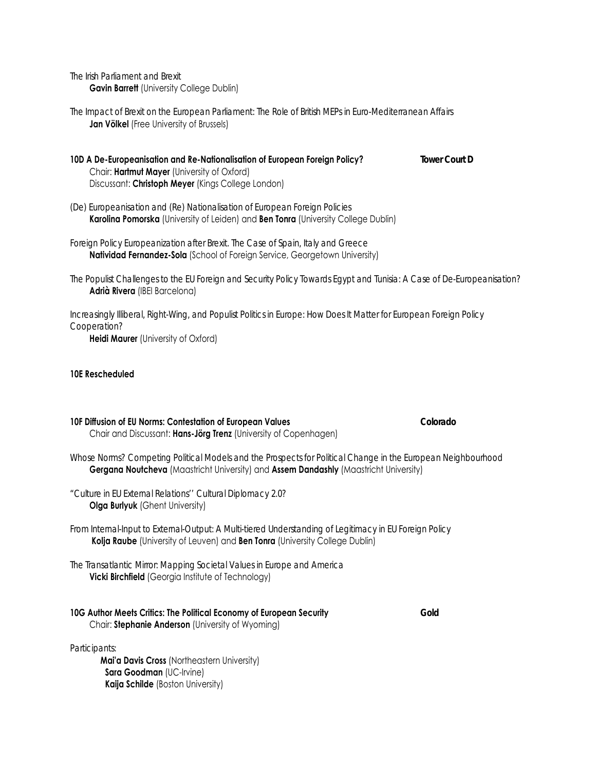*The Irish Parliament and Brexit*  **Gavin Barrett** (University College Dublin)

- *The Impact of Brexit on the European Parliament: The Role of British MEPs in Euro-Mediterranean Affairs*  **Jan Völkel** (Free University of Brussels)
- **10D A De-Europeanisation and Re-Nationalisation of European Foreign Policy?** *Tower Court D* Chair: **Hartmut Mayer** (University of Oxford) Discussant: **Christoph Meyer** (Kings College London)
- *(De) Europeanisation and (Re) Nationalisation of European Foreign Policies* **Karolina Pomorska** (University of Leiden) and **Ben Tonra** (University College Dublin)
- *Foreign Policy Europeanization after Brexit. The Case of Spain, Italy and Greece* **Natividad Fernandez-Sola** (School of Foreign Service, Georgetown University)
- *The Populist Challenges to the EU Foreign and Security Policy Towards Egypt and Tunisia: A Case of De-Europeanisation?* **Adrià Rivera** (IBEI Barcelona)

*Increasingly Illiberal, Right-Wing, and Populist Politics in Europe: How Does It Matter for European Foreign Policy Cooperation?*

**Heidi Maurer** (University of Oxford)

#### **10E Rescheduled**

#### **10F Diffusion of EU Norms: Contestation of European Values** *Colorado*

Chair and Discussant: **Hans-Jörg Trenz** (University of Copenhagen)

- *Whose Norms? Competing Political Models and the Prospects for Political Change in the European Neighbourhood* **Gergana Noutcheva** (Maastricht University) and **Assem Dandashly** (Maastricht University)
- *"Culture in EU External Relations'' Cultural Diplomacy 2.0?* **Olga Burlyuk** (Ghent University)
- *From Internal-Input to External-Output: A Multi-tiered Understanding of Legitimacy in EU Foreign Policy*  **Kolja Raube** (University of Leuven) and **Ben Tonra** (University College Dublin)
- *The Transatlantic Mirror: Mapping Societal Values in Europe and America* **Vicki Birchfield** (Georgia Institute of Technology)

#### **10G Author Meets Critics: The Political Economy of European Security** *Gold* Chair: **Stephanie Anderson** (University of Wyoming)

*Participants:* 

 **Mai'a Davis Cross** (Northeastern University) **Sara Goodman** (UC-Irvine) **Kaija Schilde** (Boston University)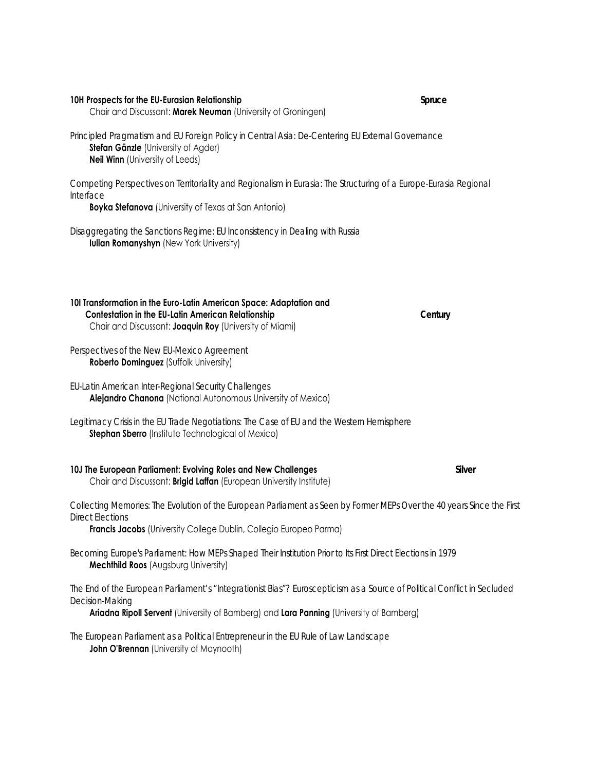**10H Prospects for the EU-Eurasian Relationship** *Spruce* Chair and Discussant: **Marek Neuman** (University of Groningen)

*Principled Pragmatism and EU Foreign Policy in Central Asia: De-Centering EU External Governance* **Stefan Gänzle** (University of Agder) **Neil Winn** (University of Leeds)

*Competing Perspectives on Territoriality and Regionalism in Eurasia: The Structuring of a Europe-Eurasia Regional Interface*

**Boyka Stefanova** (University of Texas at San Antonio)

*Disaggregating the Sanctions Regime: EU Inconsistency in Dealing with Russia* **Iulian Romanyshyn** (New York University)

| 101 Transformation in the Euro-Latin American Space: Adaptation and |         |
|---------------------------------------------------------------------|---------|
| <b>Contestation in the EU-Latin American Relationship</b>           | Century |
| Chair and Discussant: <b>Joaquin Roy</b> (University of Miami)      |         |

*Perspectives of the New EU-Mexico Agreement* **Roberto Dominguez** (Suffolk University)

*EU-Latin American Inter-Regional Security Challenges* **Alejandro Chanona** (National Autonomous University of Mexico)

*Legitimacy Crisis in the EU Trade Negotiations: The Case of EU and the Western Hemisphere* **Stephan Sberro** (Institute Technological of Mexico)

#### **10J The European Parliament: Evolving Roles and New Challenges** *Silver* Chair and Discussant: **Brigid Laffan** (European University Institute)

*Collecting Memories: The Evolution of the European Parliament as Seen by Former MEPs Over the 40 years Since the First Direct Elections*

**Francis Jacobs** (University College Dublin, Collegio Europeo Parma)

*Becoming Europe's Parliament: How MEPs Shaped Their Institution Prior to Its First Direct Elections in 1979* **Mechthild Roos** (Augsburg University)

*The End of the European Parliament's "Integrationist Bias"? Euroscepticism as a Source of Political Conflict in Secluded Decision-Making* 

**Ariadna Ripoll Servent** (University of Bamberg) and **Lara Panning** (University of Bamberg)

*The European Parliament as a Political Entrepreneur in the EU Rule of Law Landscape* **John O'Brennan** (University of Maynooth)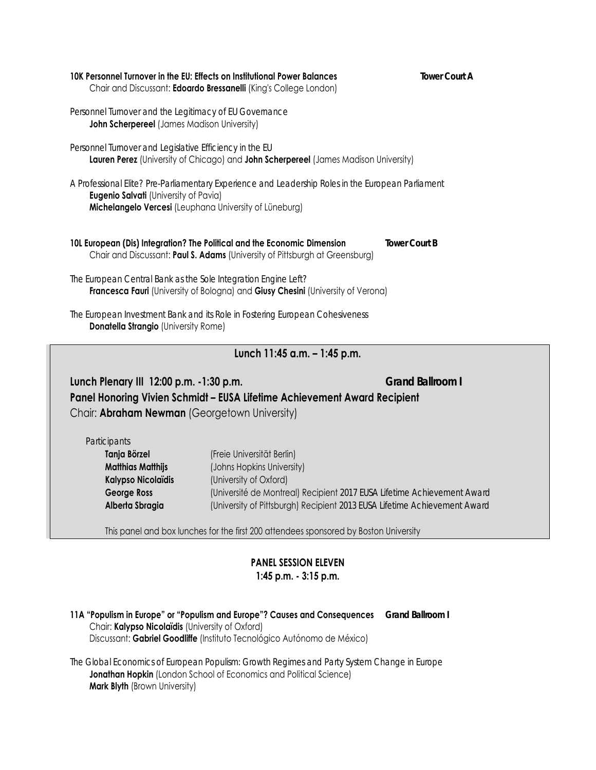| 10K Personnel Turnover in the EU: Effects on Institutional Power Balances | <b>Tower Court A</b> |
|---------------------------------------------------------------------------|----------------------|
| Chair and Discussant: Edoardo Bressanelli (King's College London)         |                      |
|                                                                           |                      |

*Personnel Turnover and the Legitimacy of EU Governance* **John Scherpereel** (James Madison University)

*Personnel Turnover and Legislative Efficiency in the EU* **Lauren Perez** (University of Chicago) and **John Scherpereel** (James Madison University)

*A Professional Elite? Pre-Parliamentary Experience and Leadership Roles in the European Parliament* **Eugenio Salvati** (University of Pavia) **Michelangelo Vercesi** (Leuphana University of Lüneburg)

**10L European (Dis) Integration? The Political and the Economic Dimension** *Tower Court B* Chair and Discussant: **Paul S. Adams** (University of Pittsburgh at Greensburg)

*The European Central Bank as the Sole Integration Engine Left?* **Francesca Fauri** (University of Bologna) and **Giusy Chesini** (University of Verona)

*The European Investment Bank and its Role in Fostering European Cohesiveness* **Donatella Strangio** (University Rome)

# **Lunch 11:45 a.m. – 1:45 p.m.**

**Lunch Plenary III 12:00 p.m. -1:30 p.m.** *Grand Ballroom I* **Panel Honoring Vivien Schmidt – EUSA Lifetime Achievement Award Recipient**  Chair: **Abraham Newman** (Georgetown University)

*Participants* 

**Tanja Börzel** (Freie Universität Berlin) **Matthias Matthijs** (Johns Hopkins University) **Kalypso Nicolaïdis** (University of Oxford) **George Ross** (Université de Montreal) Recipient *2017 EUSA Lifetime Achievement Award* **Alberta Sbragia** (University of Pittsburgh) Recipient *2013 EUSA Lifetime Achievement Award* 

This panel and box lunches for the first 200 attendees sponsored by Boston University

## **PANEL SESSION ELEVEN 1:45 p.m. - 3:15 p.m.**

**11A "Populism in Europe" or "Populism and Europe"? Causes and Consequences** *Grand Ballroom I* Chair: **Kalypso Nicolaïdis** (University of Oxford) Discussant: **Gabriel Goodliffe** (Instituto Tecnológico Autónomo de México)

*The Global Economics of European Populism: Growth Regimes and Party System Change in Europe* **Jonathan Hopkin** (London School of Economics and Political Science) **Mark Blyth** (Brown University)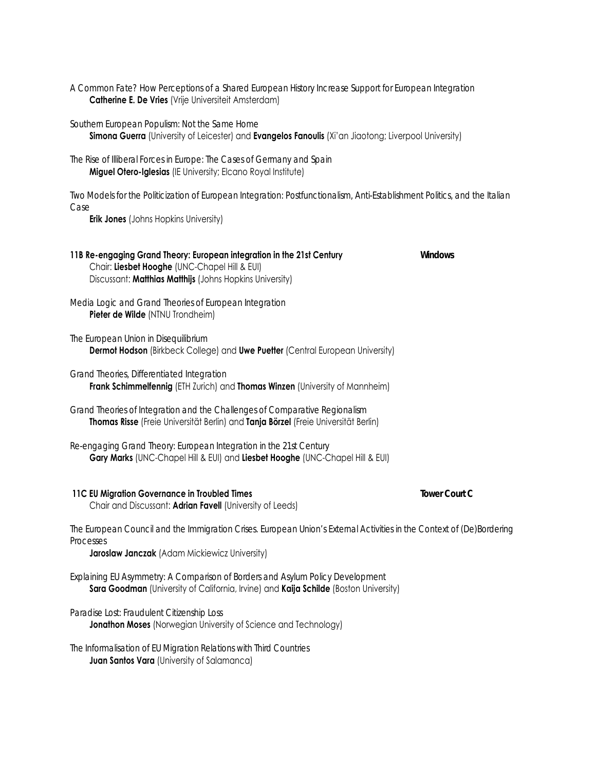- *A Common Fate? How Perceptions of a Shared European History Increase Support for European Integration* **Catherine E. De Vries** (Vrije Universiteit Amsterdam)
- *Southern European Populism: Not the Same Home* **Simona Guerra** (University of Leicester) and **Evangelos Fanoulis** (Xi'an Jiaotong; Liverpool University)
- *The Rise of Illiberal Forces in Europe: The Cases of Germany and Spain* **Miguel Otero-Iglesias** (IE University; Elcano Royal Institute)

*Two Models for the Politicization of European Integration: Postfunctionalism, Anti-Establishment Politics, and the Italian Case*

**Erik Jones** (Johns Hopkins University)

#### **11B Re-engaging Grand Theory: European integration in the 21st Century** *Windows* Chair: **Liesbet Hooghe** (UNC-Chapel Hill & EUI) Discussant: **Matthias Matthijs** (Johns Hopkins University)

*Media Logic and Grand Theories of European Integration* **Pieter de Wilde** (NTNU Trondheim)

- *The European Union in Disequilibrium* **Dermot Hodson** (Birkbeck College) and **Uwe Puetter** (Central European University)
- *Grand Theories, Differentiated Integration*

**Frank Schimmelfennig** (ETH Zurich) and **Thomas Winzen** (University of Mannheim)

*Grand Theories of Integration and the Challenges of Comparative Regionalism* **Thomas Risse** (Freie Universität Berlin) and **Tanja Börzel** (Freie Universität Berlin)

*Re-engaging Grand Theory: European Integration in the 21st Century* **Gary Marks** (UNC-Chapel Hill & EUI) and **Liesbet Hooghe** (UNC-Chapel Hill & EUI)

### **11C EU Migration Governance in Troubled Times** *Tower Court C*

Chair and Discussant: **Adrian Favell** (University of Leeds)

*The European Council and the Immigration Crises. European Union's External Activities in the Context of (De)Bordering Processes*

**Jaroslaw Janczak** (Adam Mickiewicz University)

*Explaining EU Asymmetry: A Comparison of Borders and Asylum Policy Development* **Sara Goodman** (University of California, Irvine) and **Kaija Schilde** (Boston University)

*Paradise Lost: Fraudulent Citizenship Loss* **Jonathon Moses** (Norwegian University of Science and Technology)

*The Informalisation of EU Migration Relations with Third Countries* **Juan Santos Vara** (University of Salamanca)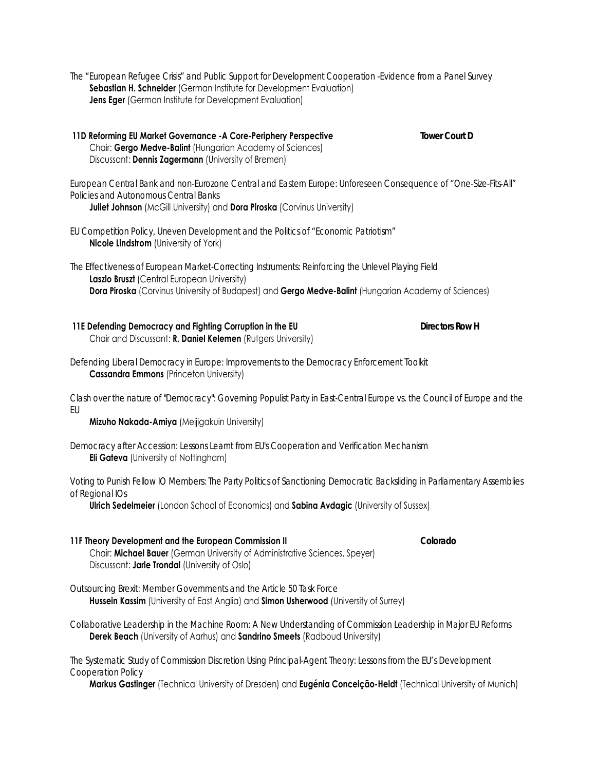- *The "European Refugee Crisis" and Public Support for Development Cooperation -Evidence from a Panel Survey*  **Sebastian H. Schneider** (German Institute for Development Evaluation) **Jens Eger** (German Institute for Development Evaluation)
- **11D Reforming EU Market Governance -A Core-Periphery Perspective** *Tower Court D* Chair: **Gergo Medve-Balint** (Hungarian Academy of Sciences) Discussant: **Dennis Zagermann** (University of Bremen)

*European Central Bank and non-Eurozone Central and Eastern Europe: Unforeseen Consequence of "One-Size-Fits-All" Policies and Autonomous Central Banks*

**Juliet Johnson** (McGill University) and **Dora Piroska** (Corvinus University)

- *EU Competition Policy, Uneven Development and the Politics of "Economic Patriotism"* **Nicole Lindstrom** (University of York)
- *The Effectiveness of European Market-Correcting Instruments: Reinforcing the Unlevel Playing Field* **Laszlo Bruszt** (Central European University) **Dora Piroska** (Corvinus University of Budapest) and **Gergo Medve-Balint** (Hungarian Academy of Sciences)
- **11E Defending Democracy and Fighting Corruption in the EU** *Directors Row H* Chair and Discussant: **R. Daniel Kelemen** (Rutgers University)
- *Defending Liberal Democracy in Europe: Improvements to the Democracy Enforcement Toolkit* **Cassandra Emmons** (Princeton University)
- *Clash over the nature of "Democracy": Governing Populist Party in East-Central Europe vs. the Council of Europe and the EU*

**Mizuho Nakada-Amiya** (Meijigakuin University)

*Democracy after Accession: Lessons Learnt from EU's Cooperation and Verification Mechanism* **Eli Gateva** (University of Nottingham)

*Voting to Punish Fellow IO Members: The Party Politics of Sanctioning Democratic Backsliding in Parliamentary Assemblies of Regional IOs*

**Ulrich Sedelmeier** (London School of Economics) and **Sabina Avdagic** (University of Sussex)

**11F Theory Development and the European Commission II** *Colorado* Chair: **Michael Bauer** (German University of Administrative Sciences, Speyer) Discussant: **Jarle Trondal** (University of Oslo)

*Outsourcing Brexit: Member Governments and the Article 50 Task Force* **Hussein Kassim** (University of East Anglia) and **Simon Usherwood** (University of Surrey)

*Collaborative Leadership in the Machine Room: A New Understanding of Commission Leadership in Major EU Reforms* **Derek Beach** (University of Aarhus) and **Sandrino Smeets** (Radboud University)

*The Systematic Study of Commission Discretion Using Principal-Agent Theory: Lessons from the EU's Development Cooperation Policy* 

**Markus Gastinger** (Technical University of Dresden) and **Eugénia Conceição-Heldt** (Technical University of Munich)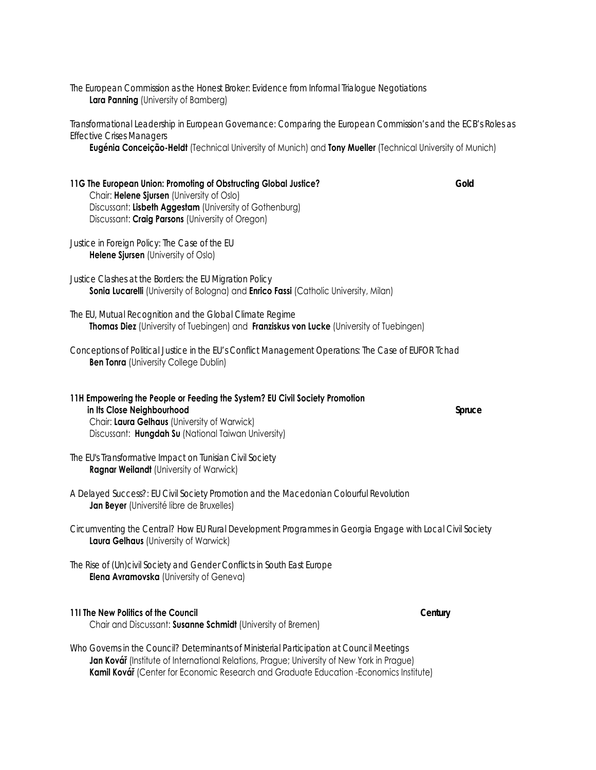*The European Commission as the Honest Broker: Evidence from Informal Trialogue Negotiations* **Lara Panning** (University of Bamberg)

*Transformational Leadership in European Governance: Comparing the European Commission's and the ECB's Roles as Effective Crises Managers*

**Eugénia Conceição-Heldt** (Technical University of Munich) and **Tony Mueller** (Technical University of Munich)

**11G The European Union: Promoting of Obstructing Global Justice?** *Gold* Chair: **Helene Sjursen** (University of Oslo) Discussant: **Lisbeth Aggestam** (University of Gothenburg) Discussant: **Craig Parsons** (University of Oregon)

*Justice in Foreign Policy: The Case of the EU* **Helene Sjursen** (University of Oslo)

*Justice Clashes at the Borders: the EU Migration Policy* **Sonia Lucarelli** (University of Bologna) and **Enrico Fassi** (Catholic University, Milan)

*The EU, Mutual Recognition and the Global Climate Regime* **Thomas Diez** (University of Tuebingen) and **Franziskus von Lucke** (University of Tuebingen)

*Conceptions of Political Justice in the EU's Conflict Management Operations: The Case of EUFOR Tchad* **Ben Tonra** (University College Dublin)

**11H Empowering the People or Feeding the System? EU Civil Society Promotion in Its Close Neighbourhood** *Spruce* Chair: **Laura Gelhaus** (University of Warwick) Discussant: **Hungdah Su** (National Taiwan University)

*The EU's Transformative Impact on Tunisian Civil Society* **Ragnar Weilandt** (University of Warwick)

*A Delayed Success?: EU Civil Society Promotion and the Macedonian Colourful Revolution* **Jan Beyer** (Université libre de Bruxelles)

*Circumventing the Central? How EU Rural Development Programmes in Georgia Engage with Local Civil Society* **Laura Gelhaus** (University of Warwick)

*The Rise of (Un)civil Society and Gender Conflicts in South East Europe* **Elena Avramovska** (University of Geneva)

#### **11I The New Politics of the Council** *Century*

Chair and Discussant: **Susanne Schmidt** (University of Bremen)

*Who Governs in the Council? Determinants of Ministerial Participation at Council Meetings* **Jan Kovář** (Institute of International Relations, Prague; University of New York in Prague) **Kamil Kovář** (Center for Economic Research and Graduate Education -Economics Institute)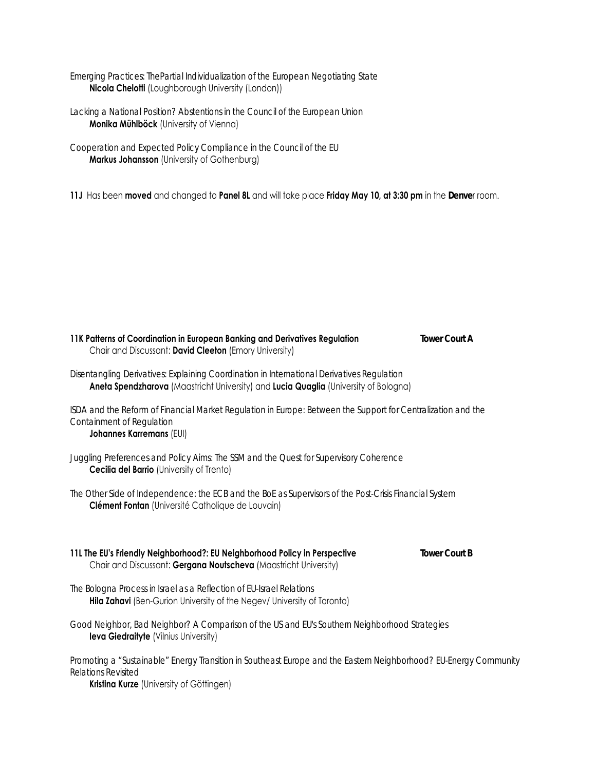*Emerging Practices: ThePartial Individualization of the European Negotiating State* **Nicola Chelotti** (Loughborough University (London))

*Lacking a National Position? Abstentions in the Council of the European Union* **Monika Mühlböck** (University of Vienna)

*Cooperation and Expected Policy Compliance in the Council of the EU*  **Markus Johansson** (University of Gothenburg)

**11J** Has been **moved** and changed to **Panel 8L** and will take place **Friday May 10, at 3:30 pm** in the *Denve*r room.

| 11K Patterns of Coordination in European Banking and Derivatives Regulation<br>Chair and Discussant: David Cleeton (Emory University)                                              | <b>Tower Court A</b> |
|------------------------------------------------------------------------------------------------------------------------------------------------------------------------------------|----------------------|
| Disentangling Derivatives: Explaining Coordination in International Derivatives Regulation<br>Aneta Spendzharova (Maastricht University) and Lucia Quaglia (University of Bologna) |                      |
| ISDA and the Reform of Financial Market Regulation in Europe: Between the Support for Centralization and the<br>Containment of Regulation<br><b>Johannes Karremans (EUI)</b>       |                      |
| Juggling Preferences and Policy Aims: The SSM and the Quest for Supervisory Coherence<br><b>Cecilia del Barrio</b> (University of Trento)                                          |                      |
| The Other Side of Independence: the ECB and the BoE as Supervisors of the Post-Crisis Financial System<br>Clément Fontan (Université Catholique de Louvain)                        |                      |
| 11L The EU's Friendly Neighborhood?: EU Neighborhood Policy in Perspective<br>Chair and Discussant: Gergana Noutscheva (Maastricht University)                                     | <b>Tower Court B</b> |
| The Bologna Process in Israel as a Reflection of EU-Israel Relations<br>Hila Zahavi (Ben-Gurion University of the Negev/ University of Toronto)                                    |                      |
| Good Neighbor, Bad Neighbor? A Comparison of the US and EU's Southern Neighborhood Strategies<br><b>leva Giedraityte (Vilnius University)</b>                                      |                      |
| Promoting a "Sustainable" Energy Transition in Southeast Europe and the Eastern Neighborhood? EU-Energy Community<br>Relations Revisited                                           |                      |

**Kristina Kurze** (University of Göttingen)